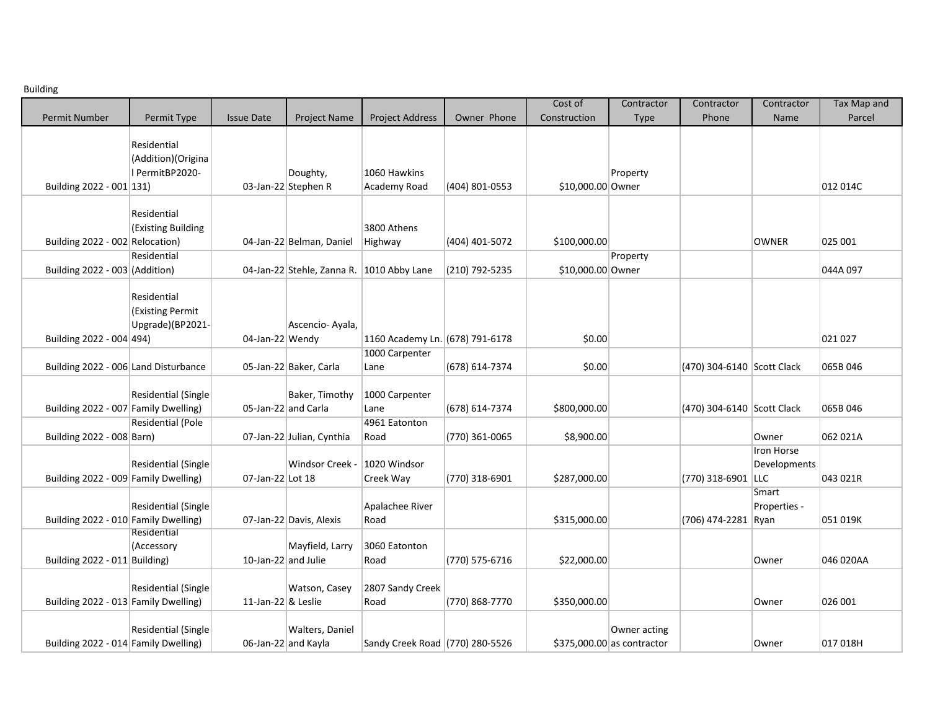Building

|                                      |                     |                       |                                           |                                 |                | Cost of           | Contractor                  | Contractor                 | Contractor   | Tax Map and |
|--------------------------------------|---------------------|-----------------------|-------------------------------------------|---------------------------------|----------------|-------------------|-----------------------------|----------------------------|--------------|-------------|
| <b>Permit Number</b>                 | Permit Type         | <b>Issue Date</b>     | Project Name                              | <b>Project Address</b>          | Owner Phone    | Construction      | Type                        | Phone                      | Name         | Parcel      |
|                                      |                     |                       |                                           |                                 |                |                   |                             |                            |              |             |
|                                      | Residential         |                       |                                           |                                 |                |                   |                             |                            |              |             |
|                                      | (Addition) (Origina |                       |                                           |                                 |                |                   |                             |                            |              |             |
|                                      | PermitBP2020-       |                       | Doughty,                                  | 1060 Hawkins                    |                |                   | Property                    |                            |              |             |
| Building 2022 - 001 131)             |                     |                       | 03-Jan-22 Stephen R                       | Academy Road                    | (404) 801-0553 | \$10,000.00 Owner |                             |                            |              | 012 014C    |
|                                      |                     |                       |                                           |                                 |                |                   |                             |                            |              |             |
|                                      | Residential         |                       |                                           |                                 |                |                   |                             |                            |              |             |
|                                      | (Existing Building  |                       |                                           | 3800 Athens                     |                |                   |                             |                            |              |             |
| Building 2022 - 002 Relocation)      |                     |                       | 04-Jan-22 Belman, Daniel                  | Highway                         | (404) 401-5072 | \$100,000.00      |                             |                            | <b>OWNER</b> | 025 001     |
|                                      | Residential         |                       |                                           |                                 |                |                   | Property                    |                            |              |             |
| Building 2022 - 003 (Addition)       |                     |                       | 04-Jan-22 Stehle, Zanna R. 1010 Abby Lane |                                 | (210) 792-5235 | \$10,000.00 Owner |                             |                            |              | 044A 097    |
|                                      |                     |                       |                                           |                                 |                |                   |                             |                            |              |             |
|                                      | Residential         |                       |                                           |                                 |                |                   |                             |                            |              |             |
|                                      | (Existing Permit    |                       |                                           |                                 |                |                   |                             |                            |              |             |
|                                      | Upgrade)(BP2021-    |                       | Ascencio-Ayala,                           |                                 |                |                   |                             |                            |              |             |
| Building 2022 - 004 494)             |                     | 04-Jan-22 Wendy       |                                           | 1160 Academy Ln. (678) 791-6178 |                | \$0.00            |                             |                            |              | 021 027     |
|                                      |                     |                       |                                           | 1000 Carpenter                  |                |                   |                             |                            |              |             |
| Building 2022 - 006 Land Disturbance |                     |                       | 05-Jan-22 Baker, Carla                    | Lane                            | (678) 614-7374 | \$0.00            |                             | (470) 304-6140 Scott Clack |              | 065B 046    |
|                                      |                     |                       |                                           |                                 |                |                   |                             |                            |              |             |
|                                      | Residential (Single |                       | Baker, Timothy                            | 1000 Carpenter                  |                |                   |                             |                            |              |             |
| Building 2022 - 007 Family Dwelling) |                     | 05-Jan-22 and Carla   |                                           | Lane                            | (678) 614-7374 | \$800,000.00      |                             | (470) 304-6140 Scott Clack |              | 065B 046    |
|                                      | Residential (Pole   |                       |                                           | 4961 Eatonton                   |                |                   |                             |                            |              |             |
| Building 2022 - 008 Barn)            |                     |                       | 07-Jan-22 Julian, Cynthia                 | Road                            | (770) 361-0065 | \$8,900.00        |                             |                            | Owner        | 062 021A    |
|                                      |                     |                       |                                           |                                 |                |                   |                             |                            | Iron Horse   |             |
|                                      | Residential (Single |                       | <b>Windsor Creek -</b>                    | 1020 Windsor                    |                |                   |                             |                            | Developments |             |
| Building 2022 - 009 Family Dwelling) |                     | 07-Jan-22 Lot 18      |                                           | Creek Way                       | (770) 318-6901 | \$287,000.00      |                             | (770) 318-6901 LLC         |              | 043 021R    |
|                                      |                     |                       |                                           |                                 |                |                   |                             |                            | Smart        |             |
|                                      | Residential (Single |                       |                                           | Apalachee River                 |                |                   |                             |                            | Properties - |             |
| Building 2022 - 010 Family Dwelling) |                     |                       | 07-Jan-22 Davis, Alexis                   | Road                            |                | \$315,000.00      |                             | (706) 474-2281 Ryan        |              | 051 019K    |
|                                      | Residential         |                       |                                           |                                 |                |                   |                             |                            |              |             |
|                                      | (Accessory          |                       | Mayfield, Larry                           | 3060 Eatonton                   |                |                   |                             |                            |              |             |
| Building 2022 - 011 Building)        |                     | 10-Jan-22 and Julie   |                                           | Road                            | (770) 575-6716 | \$22,000.00       |                             |                            | Owner        | 046 020AA   |
|                                      |                     |                       |                                           |                                 |                |                   |                             |                            |              |             |
|                                      | Residential (Single |                       | Watson, Casey                             | 2807 Sandy Creek                |                |                   |                             |                            |              |             |
| Building 2022 - 013 Family Dwelling) |                     | 11-Jan-22 $\&$ Leslie |                                           | Road                            | (770) 868-7770 | \$350,000.00      |                             |                            | Owner        | 026 001     |
|                                      |                     |                       |                                           |                                 |                |                   |                             |                            |              |             |
|                                      | Residential (Single |                       | Walters, Daniel                           |                                 |                |                   | Owner acting                |                            |              |             |
| Building 2022 - 014 Family Dwelling) |                     | 06-Jan-22 and Kayla   |                                           | Sandy Creek Road (770) 280-5526 |                |                   | $$375,000.00$ as contractor |                            | Owner        | 017 018H    |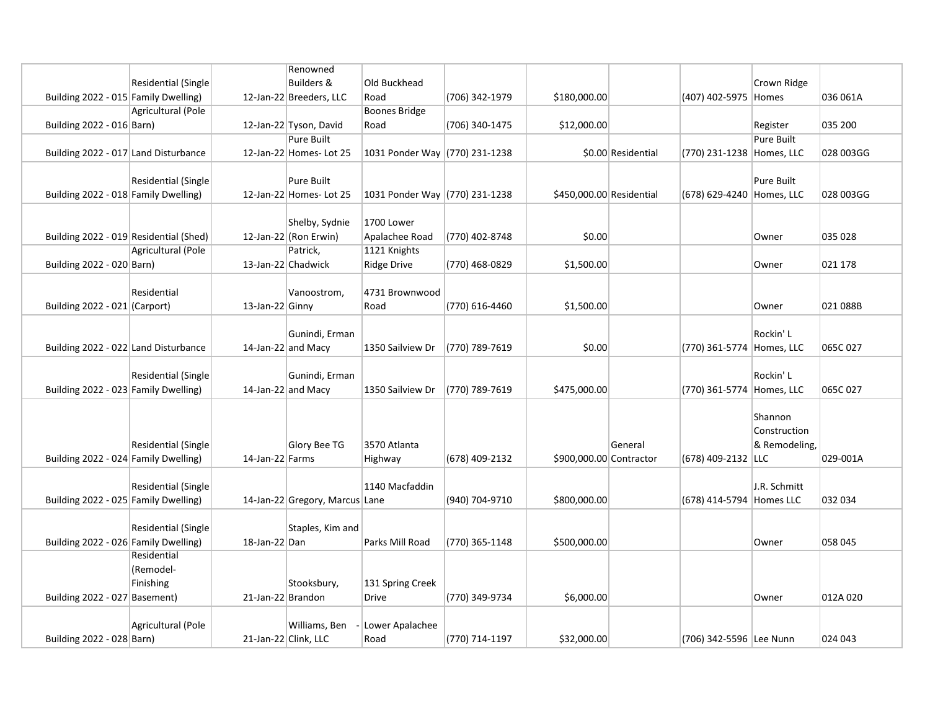|                                        |                            |                      | Renowned                       |                                |                |                          |                    |                           |               |           |
|----------------------------------------|----------------------------|----------------------|--------------------------------|--------------------------------|----------------|--------------------------|--------------------|---------------------------|---------------|-----------|
|                                        | Residential (Single        |                      | <b>Builders &amp;</b>          | Old Buckhead                   |                |                          |                    |                           | Crown Ridge   |           |
| Building 2022 - 015 Family Dwelling)   |                            |                      | 12-Jan-22 Breeders, LLC        | Road                           | (706) 342-1979 | \$180,000.00             |                    | (407) 402-5975 Homes      |               | 036 061A  |
|                                        | Agricultural (Pole         |                      |                                | <b>Boones Bridge</b>           |                |                          |                    |                           |               |           |
| Building 2022 - 016 Barn)              |                            |                      | 12-Jan-22 Tyson, David         | Road                           | (706) 340-1475 | \$12,000.00              |                    |                           | Register      | 035 200   |
|                                        |                            |                      | Pure Built                     |                                |                |                          |                    |                           | Pure Built    |           |
| Building 2022 - 017 Land Disturbance   |                            |                      | 12-Jan-22 Homes-Lot 25         | 1031 Ponder Way (770) 231-1238 |                |                          | \$0.00 Residential | (770) 231-1238 Homes, LLC |               | 028 003GG |
|                                        |                            |                      |                                |                                |                |                          |                    |                           |               |           |
|                                        | <b>Residential (Single</b> |                      | <b>Pure Built</b>              |                                |                |                          |                    |                           | Pure Built    |           |
| Building 2022 - 018 Family Dwelling)   |                            |                      | 12-Jan-22 Homes-Lot 25         | 1031 Ponder Way (770) 231-1238 |                | \$450,000.00 Residential |                    | (678) 629-4240 Homes, LLC |               | 028 003GG |
|                                        |                            |                      |                                |                                |                |                          |                    |                           |               |           |
|                                        |                            |                      | Shelby, Sydnie                 | 1700 Lower                     |                |                          |                    |                           |               |           |
| Building 2022 - 019 Residential (Shed) |                            |                      | 12-Jan-22 (Ron Erwin)          | Apalachee Road                 | (770) 402-8748 | \$0.00                   |                    |                           | Owner         | 035 028   |
|                                        | Agricultural (Pole         |                      | Patrick,                       | 1121 Knights                   |                |                          |                    |                           |               |           |
|                                        |                            | 13-Jan-22 Chadwick   |                                | <b>Ridge Drive</b>             | (770) 468-0829 | \$1,500.00               |                    |                           |               | 021 178   |
| Building 2022 - 020 Barn)              |                            |                      |                                |                                |                |                          |                    |                           | Owner         |           |
|                                        |                            |                      |                                |                                |                |                          |                    |                           |               |           |
|                                        | Residential                |                      | Vanoostrom,                    | 4731 Brownwood                 |                |                          |                    |                           |               |           |
| Building 2022 - 021 (Carport)          |                            | 13-Jan-22 Ginny      |                                | Road                           | (770) 616-4460 | \$1,500.00               |                    |                           | Owner         | 021 088B  |
|                                        |                            |                      |                                |                                |                |                          |                    |                           |               |           |
|                                        |                            |                      | Gunindi, Erman                 |                                |                |                          |                    |                           | Rockin' L     |           |
| Building 2022 - 022 Land Disturbance   |                            | 14-Jan-22 and Macy   |                                | 1350 Sailview Dr               | (770) 789-7619 | \$0.00                   |                    | (770) 361-5774 Homes, LLC |               | 065C 027  |
|                                        |                            |                      |                                |                                |                |                          |                    |                           |               |           |
|                                        | <b>Residential (Single</b> |                      | Gunindi, Erman                 |                                |                |                          |                    |                           | Rockin' L     |           |
| Building 2022 - 023 Family Dwelling)   |                            | 14-Jan-22 and Macy   |                                | 1350 Sailview Dr               | (770) 789-7619 | \$475,000.00             |                    | (770) 361-5774 Homes, LLC |               | 065C 027  |
|                                        |                            |                      |                                |                                |                |                          |                    |                           |               |           |
|                                        |                            |                      |                                |                                |                |                          |                    |                           | Shannon       |           |
|                                        |                            |                      |                                |                                |                |                          |                    |                           | Construction  |           |
|                                        | Residential (Single        |                      | Glory Bee TG                   | 3570 Atlanta                   |                |                          | General            |                           | & Remodeling, |           |
| Building 2022 - 024 Family Dwelling)   |                            | 14-Jan-22 Farms      |                                | Highway                        | (678) 409-2132 | \$900,000.00 Contractor  |                    | (678) 409-2132 LLC        |               | 029-001A  |
|                                        |                            |                      |                                |                                |                |                          |                    |                           |               |           |
|                                        | Residential (Single        |                      |                                | 1140 Macfaddin                 |                |                          |                    |                           | J.R. Schmitt  |           |
| Building 2022 - 025 Family Dwelling)   |                            |                      | 14-Jan-22 Gregory, Marcus Lane |                                | (940) 704-9710 | \$800,000.00             |                    | (678) 414-5794 Homes LLC  |               | 032 034   |
|                                        |                            |                      |                                |                                |                |                          |                    |                           |               |           |
|                                        | Residential (Single        |                      | Staples, Kim and               |                                |                |                          |                    |                           |               |           |
| Building 2022 - 026 Family Dwelling)   |                            | 18-Jan-22 Dan        |                                | Parks Mill Road                | (770) 365-1148 | \$500,000.00             |                    |                           | Owner         | 058 045   |
|                                        | Residential                |                      |                                |                                |                |                          |                    |                           |               |           |
|                                        | (Remodel-                  |                      |                                |                                |                |                          |                    |                           |               |           |
|                                        | Finishing                  |                      | Stooksbury,                    | 131 Spring Creek               |                |                          |                    |                           |               |           |
| Building 2022 - 027 Basement)          |                            | 21-Jan-22 Brandon    |                                | <b>Drive</b>                   | (770) 349-9734 | \$6,000.00               |                    |                           | Owner         | 012A 020  |
|                                        |                            |                      |                                |                                |                |                          |                    |                           |               |           |
|                                        | Agricultural (Pole         |                      | Williams, Ben                  | Lower Apalachee                |                |                          |                    |                           |               |           |
| Building 2022 - 028 Barn)              |                            | 21-Jan-22 Clink, LLC |                                | Road                           | (770) 714-1197 | \$32,000.00              |                    | (706) 342-5596 Lee Nunn   |               | 024 043   |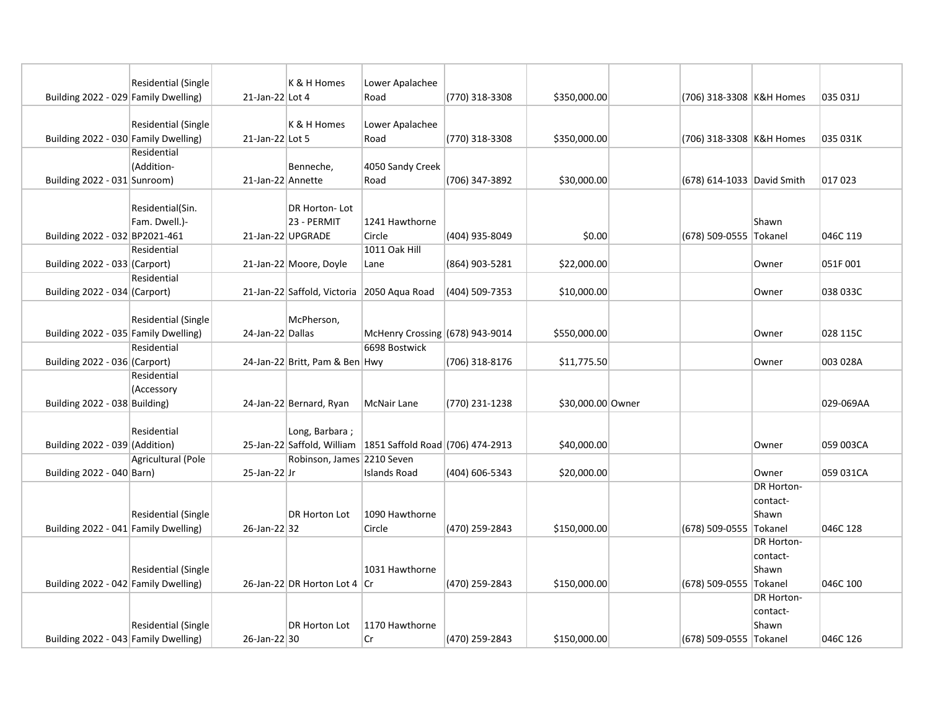|                                      |                            |                   | K & H Homes                    |                                                             |                |                   |                        |                            |           |
|--------------------------------------|----------------------------|-------------------|--------------------------------|-------------------------------------------------------------|----------------|-------------------|------------------------|----------------------------|-----------|
| Building 2022 - 029 Family Dwelling) | <b>Residential (Single</b> | 21-Jan-22 Lot 4   |                                | Lower Apalachee<br>Road                                     | (770) 318-3308 | \$350,000.00      |                        | (706) 318-3308 K&H Homes   | 035 031J  |
|                                      |                            |                   |                                |                                                             |                |                   |                        |                            |           |
|                                      | Residential (Single        |                   | K & H Homes                    | Lower Apalachee                                             |                |                   |                        |                            |           |
| Building 2022 - 030 Family Dwelling) |                            | 21-Jan-22 Lot 5   |                                | Road                                                        | (770) 318-3308 | \$350,000.00      |                        | (706) 318-3308 K&H Homes   | 035 031K  |
|                                      | Residential                |                   |                                |                                                             |                |                   |                        |                            |           |
|                                      | (Addition-                 |                   | Benneche,                      | 4050 Sandy Creek                                            |                |                   |                        |                            |           |
| Building 2022 - 031 Sunroom)         |                            | 21-Jan-22 Annette |                                | Road                                                        | (706) 347-3892 | \$30,000.00       |                        | (678) 614-1033 David Smith | 017 023   |
|                                      |                            |                   |                                |                                                             |                |                   |                        |                            |           |
|                                      | Residential(Sin.           |                   | DR Horton-Lot                  |                                                             |                |                   |                        |                            |           |
|                                      | Fam. Dwell.)-              |                   | 23 - PERMIT                    | 1241 Hawthorne                                              |                |                   |                        | Shawn                      |           |
| Building 2022 - 032 BP2021-461       |                            |                   | 21-Jan-22 UPGRADE              | Circle                                                      | (404) 935-8049 | \$0.00            | (678) 509-0555 Tokanel |                            | 046C 119  |
|                                      | Residential                |                   |                                | 1011 Oak Hill                                               |                |                   |                        |                            |           |
| Building 2022 - 033 (Carport)        |                            |                   | 21-Jan-22 Moore, Doyle         | Lane                                                        | (864) 903-5281 | \$22,000.00       |                        | Owner                      | 051F001   |
|                                      | Residential                |                   |                                |                                                             |                |                   |                        |                            |           |
| Building 2022 - 034 (Carport)        |                            |                   | 21-Jan-22 Saffold, Victoria    | 2050 Aqua Road                                              | (404) 509-7353 | \$10,000.00       |                        | Owner                      | 038 033C  |
|                                      |                            |                   |                                |                                                             |                |                   |                        |                            |           |
|                                      | Residential (Single        |                   | McPherson,                     |                                                             |                |                   |                        |                            |           |
| Building 2022 - 035 Family Dwelling) |                            | 24-Jan-22 Dallas  |                                | McHenry Crossing (678) 943-9014                             |                | \$550,000.00      |                        | Owner                      | 028 115C  |
|                                      | Residential                |                   |                                | 6698 Bostwick                                               |                |                   |                        |                            |           |
| Building 2022 - 036 (Carport)        |                            |                   | 24-Jan-22 Britt, Pam & Ben Hwy |                                                             | (706) 318-8176 | \$11,775.50       |                        | Owner                      | 003 028A  |
|                                      | Residential                |                   |                                |                                                             |                |                   |                        |                            |           |
|                                      | (Accessory                 |                   |                                |                                                             |                |                   |                        |                            |           |
| Building 2022 - 038 Building)        |                            |                   | 24-Jan-22 Bernard, Ryan        | <b>McNair Lane</b>                                          | (770) 231-1238 | \$30,000.00 Owner |                        |                            | 029-069AA |
|                                      |                            |                   |                                |                                                             |                |                   |                        |                            |           |
|                                      | Residential                |                   | Long, Barbara;                 |                                                             |                |                   |                        |                            |           |
| Building $2022 - 039$ (Addition)     |                            |                   |                                | 25-Jan-22 Saffold, William 1851 Saffold Road (706) 474-2913 |                | \$40,000.00       |                        | Owner                      | 059 003CA |
|                                      | Agricultural (Pole         |                   | Robinson, James 2210 Seven     |                                                             |                |                   |                        |                            |           |
| Building 2022 - 040 Barn)            |                            | $25$ -Jan-22 Jr   |                                | <b>Islands Road</b>                                         | (404) 606-5343 | \$20,000.00       |                        | Owner                      | 059 031CA |
|                                      |                            |                   |                                |                                                             |                |                   |                        | <b>DR Horton-</b>          |           |
|                                      |                            |                   |                                |                                                             |                |                   |                        | contact-                   |           |
|                                      | Residential (Single        |                   | <b>DR Horton Lot</b>           | 1090 Hawthorne                                              |                |                   |                        | Shawn                      |           |
| Building 2022 - 041 Family Dwelling) |                            | 26-Jan-22 32      |                                | Circle                                                      | (470) 259-2843 | \$150,000.00      | (678) 509-0555 Tokanel |                            | 046C 128  |
|                                      |                            |                   |                                |                                                             |                |                   |                        | <b>DR Horton-</b>          |           |
|                                      |                            |                   |                                |                                                             |                |                   |                        | contact-                   |           |
|                                      | <b>Residential (Single</b> |                   |                                | 1031 Hawthorne                                              |                |                   |                        | Shawn                      |           |
| Building 2022 - 042 Family Dwelling) |                            |                   | 26-Jan-22 DR Horton Lot 4 Cr   |                                                             | (470) 259-2843 | \$150,000.00      | (678) 509-0555 Tokanel |                            | 046C 100  |
|                                      |                            |                   |                                |                                                             |                |                   |                        | DR Horton-                 |           |
|                                      |                            |                   |                                |                                                             |                |                   |                        | contact-                   |           |
|                                      | Residential (Single        |                   | <b>DR Horton Lot</b>           | 1170 Hawthorne                                              |                |                   |                        | Shawn                      |           |
| Building 2022 - 043 Family Dwelling) |                            | 26-Jan-22 30      |                                | Cr                                                          | (470) 259-2843 | \$150,000.00      | (678) 509-0555 Tokanel |                            | 046C 126  |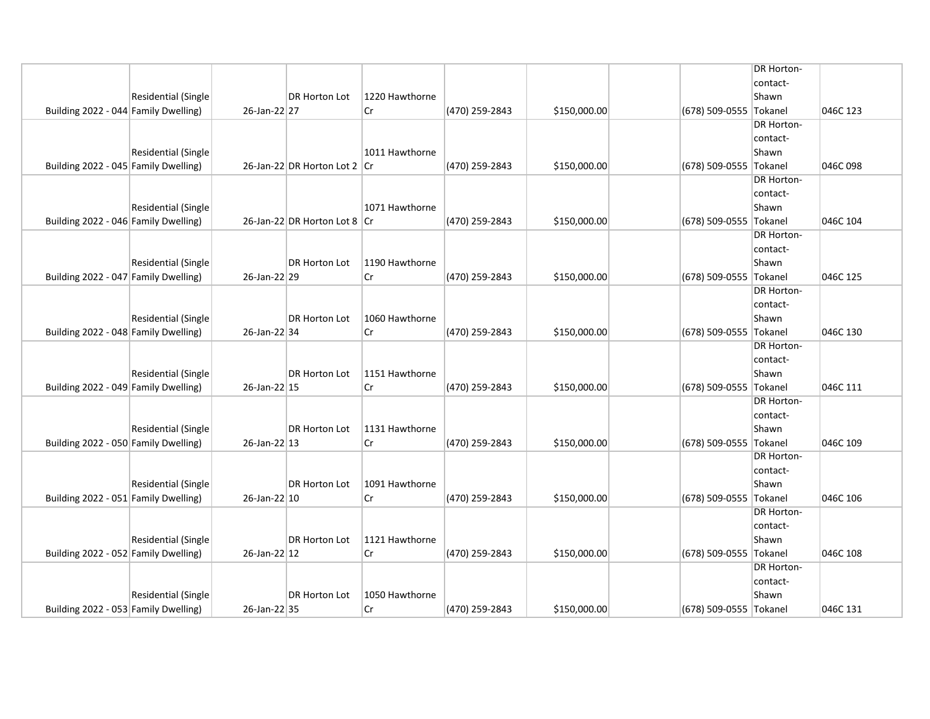|                                      |                     |              |                              |                |                |              |                        | <b>DR Horton-</b> |          |
|--------------------------------------|---------------------|--------------|------------------------------|----------------|----------------|--------------|------------------------|-------------------|----------|
|                                      |                     |              |                              |                |                |              |                        | contact-          |          |
|                                      | Residential (Single |              | DR Horton Lot                | 1220 Hawthorne |                |              |                        | Shawn             |          |
| Building 2022 - 044 Family Dwelling) |                     | 26-Jan-22 27 |                              | Cr             | (470) 259-2843 | \$150,000.00 | (678) 509-0555 Tokanel |                   | 046C 123 |
|                                      |                     |              |                              |                |                |              |                        | <b>DR Horton-</b> |          |
|                                      |                     |              |                              |                |                |              |                        | contact-          |          |
|                                      | Residential (Single |              |                              | 1011 Hawthorne |                |              |                        | Shawn             |          |
| Building 2022 - 045 Family Dwelling) |                     |              | 26-Jan-22 DR Horton Lot 2 Cr |                | (470) 259-2843 | \$150,000.00 | (678) 509-0555 Tokanel |                   | 046C098  |
|                                      |                     |              |                              |                |                |              |                        | <b>DR Horton-</b> |          |
|                                      |                     |              |                              |                |                |              |                        | contact-          |          |
|                                      | Residential (Single |              |                              | 1071 Hawthorne |                |              |                        | Shawn             |          |
| Building 2022 - 046 Family Dwelling) |                     |              | 26-Jan-22 DR Horton Lot 8 Cr |                | (470) 259-2843 | \$150,000.00 | (678) 509-0555 Tokanel |                   | 046C 104 |
|                                      |                     |              |                              |                |                |              |                        | <b>DR Horton-</b> |          |
|                                      |                     |              |                              |                |                |              |                        | contact-          |          |
|                                      | Residential (Single |              | <b>DR Horton Lot</b>         | 1190 Hawthorne |                |              |                        | Shawn             |          |
| Building 2022 - 047 Family Dwelling) |                     | 26-Jan-22 29 |                              | lCr.           | (470) 259-2843 | \$150,000.00 | (678) 509-0555 Tokanel |                   | 046C 125 |
|                                      |                     |              |                              |                |                |              |                        | <b>DR Horton-</b> |          |
|                                      |                     |              |                              |                |                |              |                        | contact-          |          |
|                                      | Residential (Single |              | DR Horton Lot                | 1060 Hawthorne |                |              |                        | Shawn             |          |
| Building 2022 - 048 Family Dwelling) |                     | 26-Jan-22 34 |                              | lCr            | (470) 259-2843 | \$150,000.00 | (678) 509-0555 Tokanel |                   | 046C 130 |
|                                      |                     |              |                              |                |                |              |                        | <b>DR Horton-</b> |          |
|                                      |                     |              |                              |                |                |              |                        | contact-          |          |
|                                      | Residential (Single |              | DR Horton Lot                | 1151 Hawthorne |                |              |                        | Shawn             |          |
| Building 2022 - 049 Family Dwelling) |                     | 26-Jan-22 15 |                              | lCr            | (470) 259-2843 | \$150,000.00 | (678) 509-0555 Tokanel |                   | 046C 111 |
|                                      |                     |              |                              |                |                |              |                        | <b>DR Horton-</b> |          |
|                                      |                     |              |                              |                |                |              |                        | contact-          |          |
|                                      | Residential (Single |              | DR Horton Lot                | 1131 Hawthorne |                |              |                        | Shawn             |          |
| Building 2022 - 050 Family Dwelling) |                     | 26-Jan-22 13 |                              | lCr            | (470) 259-2843 | \$150,000.00 | (678) 509-0555 Tokanel |                   | 046C 109 |
|                                      |                     |              |                              |                |                |              |                        | <b>DR Horton-</b> |          |
|                                      |                     |              |                              |                |                |              |                        | contact-          |          |
|                                      | Residential (Single |              | DR Horton Lot                | 1091 Hawthorne |                |              |                        | Shawn             |          |
| Building 2022 - 051 Family Dwelling) |                     | 26-Jan-22 10 |                              | lCr            | (470) 259-2843 | \$150,000.00 | (678) 509-0555 Tokanel |                   | 046C 106 |
|                                      |                     |              |                              |                |                |              |                        | DR Horton-        |          |
|                                      |                     |              |                              |                |                |              |                        | contact-          |          |
|                                      | Residential (Single |              | DR Horton Lot                | 1121 Hawthorne |                |              |                        | Shawn             |          |
| Building 2022 - 052 Family Dwelling) |                     | 26-Jan-22 12 |                              | lCr.           | (470) 259-2843 | \$150,000.00 | (678) 509-0555 Tokanel |                   | 046C 108 |
|                                      |                     |              |                              |                |                |              |                        | DR Horton-        |          |
|                                      |                     |              |                              |                |                |              |                        | contact-          |          |
|                                      | Residential (Single |              | DR Horton Lot                | 1050 Hawthorne |                |              |                        | Shawn             |          |
| Building 2022 - 053 Family Dwelling) |                     | 26-Jan-22 35 |                              | Cr             | (470) 259-2843 | \$150,000.00 | (678) 509-0555 Tokanel |                   | 046C 131 |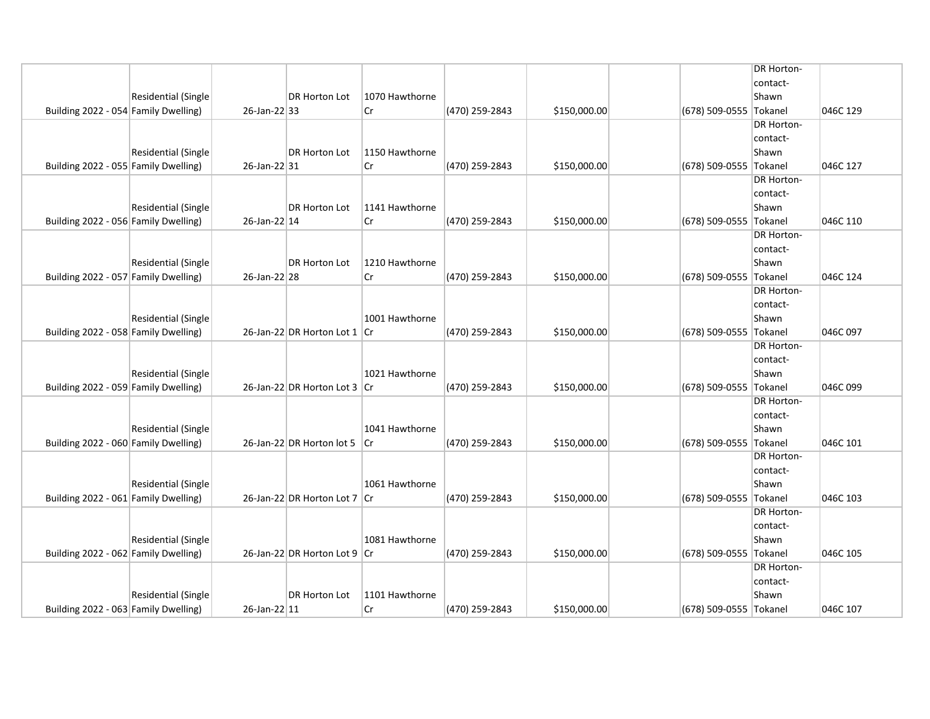|                                      |                     |              |                              |                |                |              | <b>DR Horton-</b>      |          |
|--------------------------------------|---------------------|--------------|------------------------------|----------------|----------------|--------------|------------------------|----------|
|                                      |                     |              |                              |                |                |              | contact-               |          |
|                                      | Residential (Single |              | DR Horton Lot                | 1070 Hawthorne |                |              | Shawn                  |          |
| Building 2022 - 054 Family Dwelling) |                     | 26-Jan-22 33 |                              | Cr             | (470) 259-2843 | \$150,000.00 | (678) 509-0555 Tokanel | 046C 129 |
|                                      |                     |              |                              |                |                |              | <b>DR Horton-</b>      |          |
|                                      |                     |              |                              |                |                |              | contact-               |          |
|                                      | Residential (Single |              | DR Horton Lot                | 1150 Hawthorne |                |              | Shawn                  |          |
| Building 2022 - 055 Family Dwelling) |                     | 26-Jan-22 31 |                              | Cr             | (470) 259-2843 | \$150,000.00 | (678) 509-0555 Tokanel | 046C 127 |
|                                      |                     |              |                              |                |                |              | <b>DR Horton-</b>      |          |
|                                      |                     |              |                              |                |                |              | contact-               |          |
|                                      | Residential (Single |              | DR Horton Lot                | 1141 Hawthorne |                |              | Shawn                  |          |
| Building 2022 - 056 Family Dwelling) |                     | 26-Jan-22 14 |                              | Cr             | (470) 259-2843 | \$150,000.00 | (678) 509-0555 Tokanel | 046C 110 |
|                                      |                     |              |                              |                |                |              | <b>DR Horton-</b>      |          |
|                                      |                     |              |                              |                |                |              | contact-               |          |
|                                      | Residential (Single |              | DR Horton Lot                | 1210 Hawthorne |                |              | Shawn                  |          |
| Building 2022 - 057 Family Dwelling) |                     | 26-Jan-22 28 |                              | lCr            | (470) 259-2843 | \$150,000.00 | (678) 509-0555 Tokanel | 046C 124 |
|                                      |                     |              |                              |                |                |              | <b>DR Horton-</b>      |          |
|                                      |                     |              |                              |                |                |              | contact-               |          |
|                                      | Residential (Single |              |                              | 1001 Hawthorne |                |              | Shawn                  |          |
| Building 2022 - 058 Family Dwelling) |                     |              | 26-Jan-22 DR Horton Lot 1 Cr |                | (470) 259-2843 | \$150,000.00 | (678) 509-0555 Tokanel | 046C 097 |
|                                      |                     |              |                              |                |                |              | <b>DR Horton-</b>      |          |
|                                      |                     |              |                              |                |                |              | contact-               |          |
|                                      | Residential (Single |              |                              | 1021 Hawthorne |                |              | Shawn                  |          |
| Building 2022 - 059 Family Dwelling) |                     |              | 26-Jan-22 DR Horton Lot 3 Cr |                | (470) 259-2843 | \$150,000.00 | (678) 509-0555 Tokanel | 046C 099 |
|                                      |                     |              |                              |                |                |              | <b>DR Horton-</b>      |          |
|                                      |                     |              |                              |                |                |              | contact-               |          |
|                                      | Residential (Single |              |                              | 1041 Hawthorne |                |              | Shawn                  |          |
| Building 2022 - 060 Family Dwelling) |                     |              | 26-Jan-22 DR Horton lot 5 Cr |                | (470) 259-2843 | \$150,000.00 | (678) 509-0555 Tokanel | 046C 101 |
|                                      |                     |              |                              |                |                |              | <b>DR Horton-</b>      |          |
|                                      |                     |              |                              |                |                |              | contact-               |          |
|                                      | Residential (Single |              |                              | 1061 Hawthorne |                |              | Shawn                  |          |
| Building 2022 - 061 Family Dwelling) |                     |              | 26-Jan-22 DR Horton Lot 7 Cr |                | (470) 259-2843 | \$150,000.00 | (678) 509-0555 Tokanel | 046C 103 |
|                                      |                     |              |                              |                |                |              | <b>DR Horton-</b>      |          |
|                                      | Residential (Single |              |                              | 1081 Hawthorne |                |              | contact-<br>Shawn      |          |
| Building 2022 - 062 Family Dwelling) |                     |              | 26-Jan-22 DR Horton Lot 9 Cr |                | (470) 259-2843 | \$150,000.00 | (678) 509-0555 Tokanel | 046C 105 |
|                                      |                     |              |                              |                |                |              | <b>DR Horton-</b>      |          |
|                                      |                     |              |                              |                |                |              | contact-               |          |
|                                      | Residential (Single |              | DR Horton Lot                | 1101 Hawthorne |                |              | Shawn                  |          |
| Building 2022 - 063 Family Dwelling) |                     | 26-Jan-22 11 |                              | Cr             | (470) 259-2843 | \$150,000.00 | (678) 509-0555 Tokanel | 046C 107 |
|                                      |                     |              |                              |                |                |              |                        |          |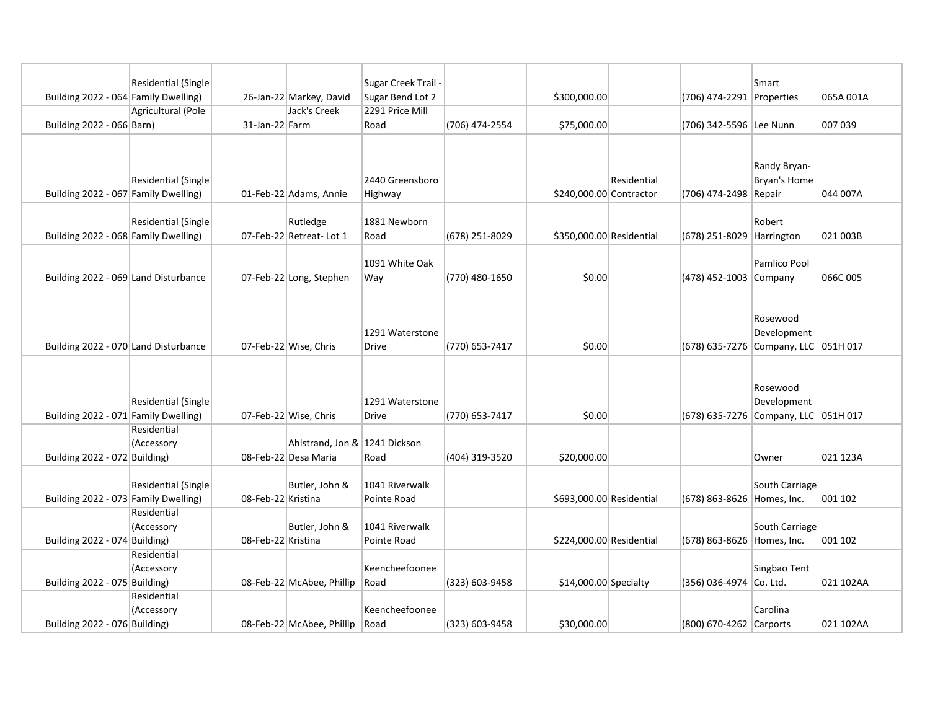|                                      | <b>Residential (Single</b> |                    |                               | Sugar Creek Trail - |                |                          |             |                                      | Smart               |           |
|--------------------------------------|----------------------------|--------------------|-------------------------------|---------------------|----------------|--------------------------|-------------|--------------------------------------|---------------------|-----------|
| Building 2022 - 064 Family Dwelling) |                            |                    | 26-Jan-22 Markey, David       | Sugar Bend Lot 2    |                | \$300,000.00             |             | (706) 474-2291 Properties            |                     | 065A 001A |
|                                      | Agricultural (Pole         |                    | Jack's Creek                  | 2291 Price Mill     |                |                          |             |                                      |                     |           |
| Building 2022 - 066 Barn)            |                            | 31-Jan-22 Farm     |                               | Road                | (706) 474-2554 | \$75,000.00              |             | (706) 342-5596 Lee Nunn              |                     | 007 039   |
|                                      |                            |                    |                               |                     |                |                          |             |                                      |                     |           |
|                                      |                            |                    |                               |                     |                |                          |             |                                      |                     |           |
|                                      |                            |                    |                               |                     |                |                          |             |                                      | Randy Bryan-        |           |
|                                      | Residential (Single        |                    |                               | 2440 Greensboro     |                |                          | Residential |                                      | <b>Bryan's Home</b> |           |
| Building 2022 - 067 Family Dwelling) |                            |                    | 01-Feb-22 Adams, Annie        | Highway             |                | \$240,000.00 Contractor  |             | (706) 474-2498 Repair                |                     | 044 007A  |
|                                      |                            |                    |                               |                     |                |                          |             |                                      |                     |           |
|                                      | <b>Residential (Single</b> |                    | Rutledge                      | 1881 Newborn        |                |                          |             |                                      | Robert              |           |
| Building 2022 - 068 Family Dwelling) |                            |                    | 07-Feb-22 Retreat- Lot 1      | Road                | (678) 251-8029 | \$350,000.00 Residential |             | (678) 251-8029 Harrington            |                     | 021 003B  |
|                                      |                            |                    |                               | 1091 White Oak      |                |                          |             |                                      | Pamlico Pool        |           |
| Building 2022 - 069 Land Disturbance |                            |                    | 07-Feb-22 Long, Stephen       | Way                 | (770) 480-1650 | \$0.00                   |             | (478) 452-1003 Company               |                     | 066C005   |
|                                      |                            |                    |                               |                     |                |                          |             |                                      |                     |           |
|                                      |                            |                    |                               |                     |                |                          |             |                                      |                     |           |
|                                      |                            |                    |                               |                     |                |                          |             |                                      | Rosewood            |           |
|                                      |                            |                    |                               | 1291 Waterstone     |                |                          |             |                                      | Development         |           |
| Building 2022 - 070 Land Disturbance |                            |                    | 07-Feb-22 Wise, Chris         | <b>Drive</b>        | (770) 653-7417 | \$0.00                   |             | (678) 635-7276 Company, LLC 051H 017 |                     |           |
|                                      |                            |                    |                               |                     |                |                          |             |                                      |                     |           |
|                                      |                            |                    |                               |                     |                |                          |             |                                      |                     |           |
|                                      |                            |                    |                               |                     |                |                          |             |                                      | Rosewood            |           |
|                                      | Residential (Single        |                    |                               | 1291 Waterstone     |                |                          |             |                                      | Development         |           |
| Building 2022 - 071 Family Dwelling) |                            |                    | 07-Feb-22 Wise, Chris         | <b>Drive</b>        | (770) 653-7417 | \$0.00                   |             | (678) 635-7276 Company, LLC 051H 017 |                     |           |
|                                      | Residential                |                    |                               |                     |                |                          |             |                                      |                     |           |
|                                      | (Accessory                 |                    | Ahlstrand, Jon & 1241 Dickson |                     |                |                          |             |                                      |                     |           |
| Building 2022 - 072 Building)        |                            |                    | 08-Feb-22 Desa Maria          | Road                | (404) 319-3520 | \$20,000.00              |             |                                      | Owner               | 021 123A  |
|                                      |                            |                    |                               |                     |                |                          |             |                                      |                     |           |
|                                      | <b>Residential (Single</b> |                    | Butler, John &                | 1041 Riverwalk      |                |                          |             |                                      | South Carriage      |           |
| Building 2022 - 073 Family Dwelling) |                            | 08-Feb-22 Kristina |                               | Pointe Road         |                | \$693,000.00 Residential |             | (678) 863-8626 Homes, Inc.           |                     | 001 102   |
|                                      | Residential<br>(Accessory  |                    | Butler, John &                | 1041 Riverwalk      |                |                          |             |                                      | South Carriage      |           |
| Building 2022 - 074 Building)        |                            | 08-Feb-22 Kristina |                               | Pointe Road         |                | \$224,000.00 Residential |             | (678) 863-8626 Homes, Inc.           |                     | 001 102   |
|                                      | Residential                |                    |                               |                     |                |                          |             |                                      |                     |           |
|                                      | (Accessory                 |                    |                               | Keencheefoonee      |                |                          |             |                                      | Singbao Tent        |           |
| Building 2022 - 075 Building)        |                            |                    | 08-Feb-22 McAbee, Phillip     | Road                | (323) 603-9458 | $$14,000.00$ Specialty   |             | (356) 036-4974 Co. Ltd.              |                     | 021 102AA |
|                                      | Residential                |                    |                               |                     |                |                          |             |                                      |                     |           |
|                                      | (Accessory                 |                    |                               | Keencheefoonee      |                |                          |             |                                      | Carolina            |           |
|                                      |                            |                    |                               |                     |                |                          |             |                                      |                     |           |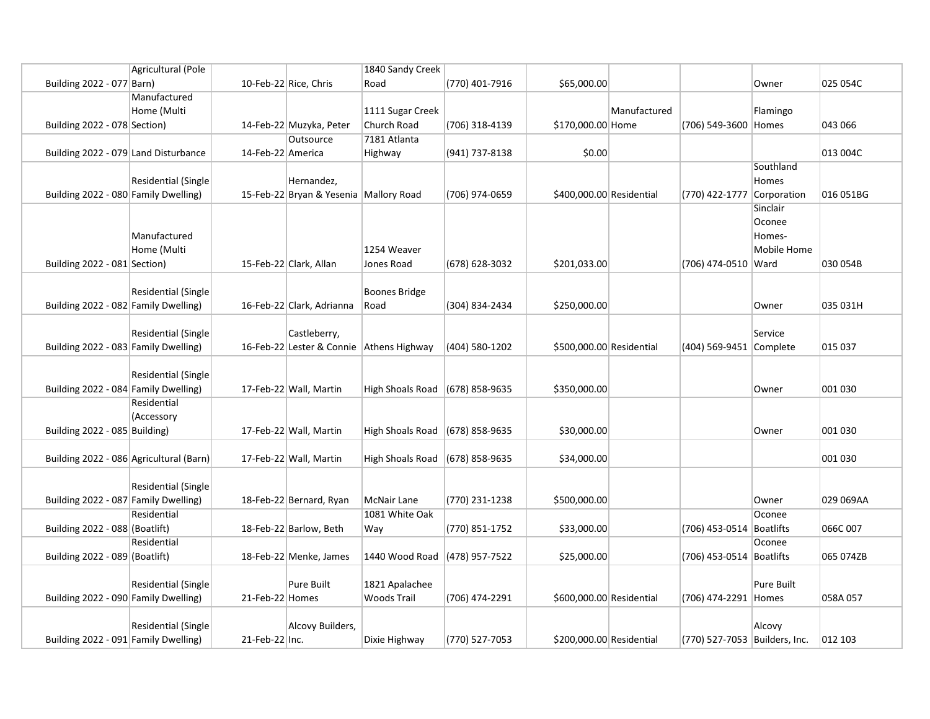|                                         | Agricultural (Pole         |                   |                                          | 1840 Sandy Creek                |                  |                          |              |                               |             |           |
|-----------------------------------------|----------------------------|-------------------|------------------------------------------|---------------------------------|------------------|--------------------------|--------------|-------------------------------|-------------|-----------|
| Building 2022 - 077 Barn)               |                            |                   | 10-Feb-22 Rice, Chris                    | Road                            | (770) 401-7916   | \$65,000.00              |              |                               | Owner       | 025 054C  |
|                                         | Manufactured               |                   |                                          |                                 |                  |                          |              |                               |             |           |
|                                         | Home (Multi                |                   |                                          | 1111 Sugar Creek                |                  |                          | Manufactured |                               | Flamingo    |           |
| Building 2022 - 078 Section)            |                            |                   | 14-Feb-22 Muzyka, Peter                  | Church Road                     | (706) 318-4139   | \$170,000.00 Home        |              | (706) 549-3600 Homes          |             | 043 066   |
|                                         |                            |                   | Outsource                                | 7181 Atlanta                    |                  |                          |              |                               |             |           |
| Building 2022 - 079 Land Disturbance    |                            | 14-Feb-22 America |                                          | Highway                         | (941) 737-8138   | \$0.00                   |              |                               |             | 013 004C  |
|                                         |                            |                   |                                          |                                 |                  |                          |              |                               | Southland   |           |
|                                         | <b>Residential (Single</b> |                   | Hernandez,                               |                                 |                  |                          |              |                               | Homes       |           |
| Building 2022 - 080 Family Dwelling)    |                            |                   | 15-Feb-22 Bryan & Yesenia Mallory Road   |                                 | (706) 974-0659   | \$400,000.00 Residential |              | (770) 422-1777 Corporation    |             | 016 051BG |
|                                         |                            |                   |                                          |                                 |                  |                          |              |                               | Sinclair    |           |
|                                         |                            |                   |                                          |                                 |                  |                          |              |                               | Oconee      |           |
|                                         | Manufactured               |                   |                                          |                                 |                  |                          |              |                               | Homes-      |           |
|                                         | Home (Multi                |                   |                                          | 1254 Weaver                     |                  |                          |              |                               | Mobile Home |           |
| Building 2022 - 081 Section)            |                            |                   | 15-Feb-22 Clark, Allan                   | Jones Road                      | (678) 628-3032   | \$201,033.00             |              | (706) 474-0510 Ward           |             | 030 054B  |
|                                         |                            |                   |                                          |                                 |                  |                          |              |                               |             |           |
|                                         | Residential (Single        |                   |                                          | Boones Bridge                   |                  |                          |              |                               |             |           |
| Building 2022 - 082 Family Dwelling)    |                            |                   | 16-Feb-22 Clark, Adrianna                | Road                            | (304) 834-2434   | \$250,000.00             |              |                               | Owner       | 035 031H  |
|                                         |                            |                   |                                          |                                 |                  |                          |              |                               |             |           |
|                                         | <b>Residential (Single</b> |                   | Castleberry,                             |                                 |                  |                          |              |                               | Service     |           |
| Building 2022 - 083 Family Dwelling)    |                            |                   | 16-Feb-22 Lester & Connie Athens Highway |                                 | (404) 580-1202   | \$500,000.00 Residential |              | (404) 569-9451 Complete       |             | 015 037   |
|                                         |                            |                   |                                          |                                 |                  |                          |              |                               |             |           |
|                                         | <b>Residential (Single</b> |                   |                                          |                                 |                  |                          |              |                               |             |           |
| Building 2022 - 084 Family Dwelling)    |                            |                   | 17-Feb-22 Wall, Martin                   | High Shoals Road (678) 858-9635 |                  | \$350,000.00             |              |                               | Owner       | 001 030   |
|                                         | Residential                |                   |                                          |                                 |                  |                          |              |                               |             |           |
|                                         | (Accessory                 |                   |                                          |                                 |                  |                          |              |                               |             |           |
| Building 2022 - 085 Building)           |                            |                   | 17-Feb-22 Wall, Martin                   | High Shoals Road (678) 858-9635 |                  | \$30,000.00              |              |                               | Owner       | 001 030   |
|                                         |                            |                   |                                          |                                 |                  |                          |              |                               |             | 001 030   |
| Building 2022 - 086 Agricultural (Barn) |                            |                   | 17-Feb-22 Wall, Martin                   | High Shoals Road                | (678) 858-9635   | \$34,000.00              |              |                               |             |           |
|                                         | <b>Residential (Single</b> |                   |                                          |                                 |                  |                          |              |                               |             |           |
| Building 2022 - 087 Family Dwelling)    |                            |                   | 18-Feb-22 Bernard, Ryan                  |                                 | (770) 231-1238   |                          |              |                               |             | 029 069AA |
|                                         | Residential                |                   |                                          | McNair Lane<br>1081 White Oak   |                  | \$500,000.00             |              |                               | Owner       |           |
| Building 2022 - 088 (Boatlift)          |                            |                   | 18-Feb-22 Barlow, Beth                   | Way                             |                  | \$33,000.00              |              | (706) 453-0514 Boatlifts      | Oconee      | 066C 007  |
|                                         | Residential                |                   |                                          |                                 | (770) 851-1752   |                          |              |                               | Oconee      |           |
| Building 2022 - 089 (Boatlift)          |                            |                   | 18-Feb-22 Menke, James                   | 1440 Wood Road                  | $(478)$ 957-7522 | \$25,000.00              |              | (706) 453-0514 Boatlifts      |             | 065 074ZB |
|                                         |                            |                   |                                          |                                 |                  |                          |              |                               |             |           |
|                                         | Residential (Single        |                   | Pure Built                               | 1821 Apalachee                  |                  |                          |              |                               | Pure Built  |           |
| Building 2022 - 090 Family Dwelling)    |                            | 21-Feb-22 Homes   |                                          | <b>Woods Trail</b>              | (706) 474-2291   | \$600,000.00 Residential |              | (706) 474-2291 Homes          |             | 058A057   |
|                                         |                            |                   |                                          |                                 |                  |                          |              |                               |             |           |
|                                         | <b>Residential (Single</b> |                   | Alcovy Builders,                         |                                 |                  |                          |              |                               | Alcovy      |           |
| Building 2022 - 091 Family Dwelling)    |                            | 21-Feb-22 Inc.    |                                          | Dixie Highway                   | (770) 527-7053   | \$200,000.00 Residential |              | (770) 527-7053 Builders, Inc. |             | 012 103   |
|                                         |                            |                   |                                          |                                 |                  |                          |              |                               |             |           |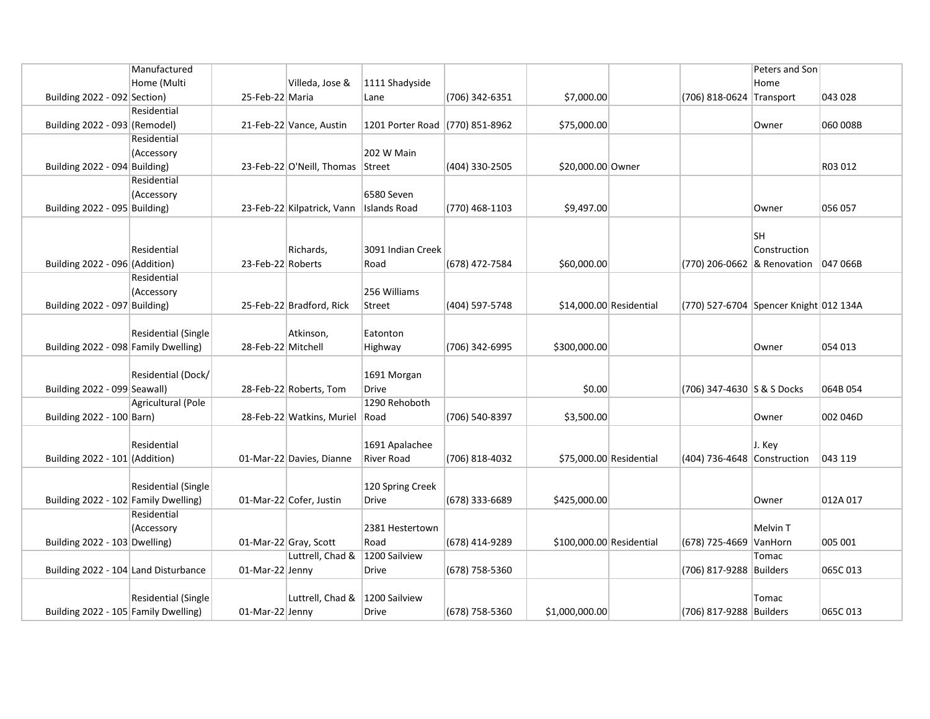|                                      | Manufactured              |                    |                            |                                 |                  |                          |                                        | Peters and Son |          |
|--------------------------------------|---------------------------|--------------------|----------------------------|---------------------------------|------------------|--------------------------|----------------------------------------|----------------|----------|
|                                      | Home (Multi               |                    | Villeda, Jose &            | 1111 Shadyside                  |                  |                          |                                        | Home           |          |
| Building 2022 - 092 Section)         |                           | 25-Feb-22 Maria    |                            | Lane                            | (706) 342-6351   | \$7,000.00               | (706) 818-0624 Transport               |                | 043 028  |
|                                      | Residential               |                    |                            |                                 |                  |                          |                                        |                |          |
| Building 2022 - 093 (Remodel)        |                           |                    | 21-Feb-22 Vance, Austin    | 1201 Porter Road (770) 851-8962 |                  | \$75,000.00              |                                        | Owner          | 060 008B |
|                                      | Residential               |                    |                            |                                 |                  |                          |                                        |                |          |
|                                      | (Accessory                |                    |                            | 202 W Main                      |                  |                          |                                        |                |          |
| Building 2022 - 094 Building)        |                           |                    | 23-Feb-22 O'Neill, Thomas  | Street                          | (404) 330-2505   | \$20,000.00 Owner        |                                        |                | R03 012  |
|                                      | Residential               |                    |                            |                                 |                  |                          |                                        |                |          |
|                                      | (Accessory                |                    |                            | 6580 Seven                      |                  |                          |                                        |                |          |
| Building 2022 - 095 Building)        |                           |                    | 23-Feb-22 Kilpatrick, Vann | <b>Islands Road</b>             | (770) 468-1103   | \$9,497.00               |                                        | Owner          | 056 057  |
|                                      |                           |                    |                            |                                 |                  |                          |                                        |                |          |
|                                      |                           |                    |                            |                                 |                  |                          |                                        | <b>SH</b>      |          |
|                                      | Residential               |                    | Richards,                  | 3091 Indian Creek               |                  |                          |                                        | Construction   |          |
| Building 2022 - 096 (Addition)       |                           | 23-Feb-22 Roberts  |                            | Road                            | (678) 472-7584   | \$60,000.00              | (770) 206-0662 & Renovation            |                | 047 066B |
|                                      | Residential               |                    |                            |                                 |                  |                          |                                        |                |          |
|                                      | (Accessory                |                    |                            | 256 Williams                    |                  |                          |                                        |                |          |
| Building 2022 - 097 Building)        |                           |                    | 25-Feb-22 Bradford, Rick   | Street                          | (404) 597-5748   | \$14,000.00 Residential  | (770) 527-6704 Spencer Knight 012 134A |                |          |
|                                      |                           |                    |                            |                                 |                  |                          |                                        |                |          |
|                                      | Residential (Single       |                    | Atkinson,                  | Eatonton                        |                  |                          |                                        |                |          |
| Building 2022 - 098 Family Dwelling) |                           | 28-Feb-22 Mitchell |                            | Highway                         | (706) 342-6995   | \$300,000.00             |                                        | Owner          | 054 013  |
|                                      |                           |                    |                            |                                 |                  |                          |                                        |                |          |
|                                      | Residential (Dock/        |                    |                            | 1691 Morgan                     |                  |                          |                                        |                |          |
| Building 2022 - 099 Seawall)         | <b>Agricultural (Pole</b> |                    | 28-Feb-22 Roberts, Tom     | <b>Drive</b><br>1290 Rehoboth   |                  | \$0.00                   | (706) 347-4630 S & S Docks             |                | 064B 054 |
|                                      |                           |                    |                            |                                 |                  |                          |                                        |                | 002 046D |
| Building 2022 - 100 Barn)            |                           |                    | 28-Feb-22 Watkins, Muriel  | Road                            | (706) 540-8397   | \$3,500.00               |                                        | Owner          |          |
|                                      | Residential               |                    |                            | 1691 Apalachee                  |                  |                          |                                        | J. Key         |          |
| Building 2022 - 101 (Addition)       |                           |                    | 01-Mar-22 Davies, Dianne   | <b>River Road</b>               | (706) 818-4032   | \$75,000.00 Residential  | (404) 736-4648 Construction            |                | 043 119  |
|                                      |                           |                    |                            |                                 |                  |                          |                                        |                |          |
|                                      | Residential (Single       |                    |                            | 120 Spring Creek                |                  |                          |                                        |                |          |
| Building 2022 - 102 Family Dwelling) |                           |                    | 01-Mar-22 Cofer, Justin    | Drive                           | $(678)$ 333-6689 | \$425,000.00             |                                        | Owner          | 012A 017 |
|                                      | Residential               |                    |                            |                                 |                  |                          |                                        |                |          |
|                                      | (Accessory                |                    |                            | 2381 Hestertown                 |                  |                          |                                        | Melvin T       |          |
| Building 2022 - 103 Dwelling)        |                           |                    | 01-Mar-22 Gray, Scott      | Road                            | (678) 414-9289   | \$100,000.00 Residential | (678) 725-4669 VanHorn                 |                | 005 001  |
|                                      |                           |                    | Luttrell, Chad &           | 1200 Sailview                   |                  |                          |                                        | Tomac          |          |
| Building 2022 - 104 Land Disturbance |                           | 01-Mar-22 Jenny    |                            | <b>Drive</b>                    | (678) 758-5360   |                          | (706) 817-9288 Builders                |                | 065C 013 |
|                                      |                           |                    |                            |                                 |                  |                          |                                        |                |          |
|                                      | Residential (Single       |                    | Luttrell, Chad &           | 1200 Sailview                   |                  |                          |                                        | Tomac          |          |
| Building 2022 - 105 Family Dwelling) |                           | 01-Mar-22 Jenny    |                            | <b>Drive</b>                    | (678) 758-5360   | \$1,000,000.00           | (706) 817-9288 Builders                |                | 065C 013 |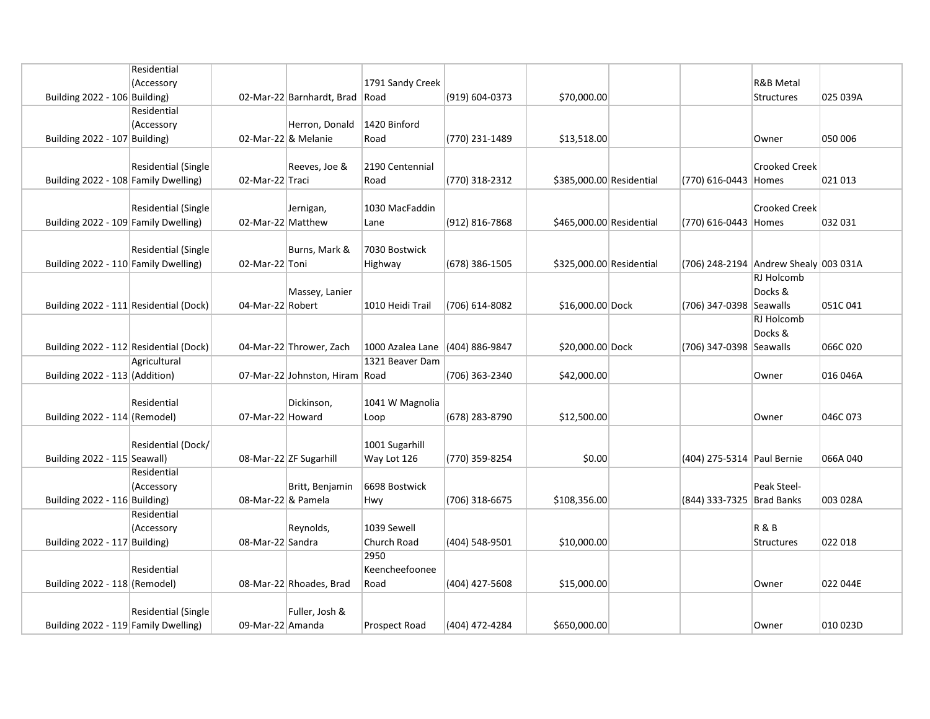|                                        | Residential                |                    |                                |                                 |                    |                          |                                       |                      |          |
|----------------------------------------|----------------------------|--------------------|--------------------------------|---------------------------------|--------------------|--------------------------|---------------------------------------|----------------------|----------|
|                                        | (Accessory                 |                    |                                | 1791 Sandy Creek                |                    |                          |                                       | <b>R&amp;B Metal</b> |          |
| Building $2022 - 106$ Building)        |                            |                    | 02-Mar-22 Barnhardt, Brad Road |                                 | (919) 604-0373     | \$70,000.00              |                                       | Structures           | 025 039A |
|                                        | Residential                |                    |                                |                                 |                    |                          |                                       |                      |          |
|                                        | (Accessory                 |                    | Herron, Donald                 | 1420 Binford                    |                    |                          |                                       |                      |          |
| Building 2022 - 107 Building)          |                            |                    | 02-Mar-22 & Melanie            | Road                            | (770) 231-1489     | \$13,518.00              |                                       | Owner                | 050 006  |
|                                        |                            |                    |                                |                                 |                    |                          |                                       |                      |          |
|                                        | Residential (Single        |                    | Reeves, Joe &                  | 2190 Centennial                 |                    |                          |                                       | <b>Crooked Creek</b> |          |
| Building 2022 - 108 Family Dwelling)   |                            | 02-Mar-22 Traci    |                                | Road                            |                    | \$385,000.00 Residential |                                       |                      | 021 013  |
|                                        |                            |                    |                                |                                 | (770) 318-2312     |                          | (770) 616-0443 Homes                  |                      |          |
|                                        |                            |                    |                                |                                 |                    |                          |                                       |                      |          |
|                                        | Residential (Single        |                    | Jernigan,                      | 1030 MacFaddin                  |                    |                          |                                       | <b>Crooked Creek</b> |          |
| Building 2022 - 109 Family Dwelling)   |                            | 02-Mar-22 Matthew  |                                | Lane                            | $(912) 816 - 7868$ | \$465,000.00 Residential | (770) 616-0443 Homes                  |                      | 032 031  |
|                                        |                            |                    |                                |                                 |                    |                          |                                       |                      |          |
|                                        | <b>Residential (Single</b> |                    | Burns, Mark &                  | 7030 Bostwick                   |                    |                          |                                       |                      |          |
| Building 2022 - 110 Family Dwelling)   |                            | 02-Mar-22 Toni     |                                | Highway                         | (678) 386-1505     | \$325,000.00 Residential | (706) 248-2194 Andrew Shealy 003 031A |                      |          |
|                                        |                            |                    |                                |                                 |                    |                          |                                       | RJ Holcomb           |          |
|                                        |                            |                    | Massey, Lanier                 |                                 |                    |                          |                                       | Docks &              |          |
| Building 2022 - 111 Residential (Dock) |                            | 04-Mar-22 Robert   |                                | 1010 Heidi Trail                | (706) 614-8082     | \$16,000.00 Dock         | (706) 347-0398 Seawalls               |                      | 051C041  |
|                                        |                            |                    |                                |                                 |                    |                          |                                       | <b>RJ Holcomb</b>    |          |
|                                        |                            |                    |                                |                                 |                    |                          |                                       | Docks &              |          |
| Building 2022 - 112 Residential (Dock) |                            |                    | 04-Mar-22 Thrower, Zach        | 1000 Azalea Lane (404) 886-9847 |                    | \$20,000.00 Dock         | (706) 347-0398 Seawalls               |                      | 066C020  |
|                                        | Agricultural               |                    |                                | 1321 Beaver Dam                 |                    |                          |                                       |                      |          |
| Building 2022 - 113 (Addition)         |                            |                    | 07-Mar-22 Johnston, Hiram Road |                                 | (706) 363-2340     | \$42,000.00              |                                       | Owner                | 016 046A |
|                                        |                            |                    |                                |                                 |                    |                          |                                       |                      |          |
|                                        | Residential                |                    | Dickinson,                     | 1041 W Magnolia                 |                    |                          |                                       |                      |          |
| Building 2022 - 114 (Remodel)          |                            | 07-Mar-22 Howard   |                                | Loop                            | (678) 283-8790     | \$12,500.00              |                                       | Owner                | 046C 073 |
|                                        |                            |                    |                                |                                 |                    |                          |                                       |                      |          |
|                                        | Residential (Dock/         |                    |                                | 1001 Sugarhill                  |                    |                          |                                       |                      |          |
| Building 2022 - 115 Seawall)           |                            |                    | 08-Mar-22 ZF Sugarhill         | Way Lot 126                     | (770) 359-8254     | \$0.00                   | (404) 275-5314 Paul Bernie            |                      | 066A040  |
|                                        | Residential                |                    |                                |                                 |                    |                          |                                       |                      |          |
|                                        |                            |                    |                                |                                 |                    |                          |                                       | Peak Steel-          |          |
|                                        | (Accessory                 |                    | Britt, Benjamin                | 6698 Bostwick                   |                    |                          |                                       |                      |          |
| Building $2022 - 116$ Building)        |                            | 08-Mar-22 & Pamela |                                | Hwy                             | $(706)$ 318-6675   | \$108,356.00             | (844) 333-7325 Brad Banks             |                      | 003 028A |
|                                        | Residential                |                    |                                |                                 |                    |                          |                                       |                      |          |
|                                        | (Accessory                 |                    | Reynolds,                      | 1039 Sewell                     |                    |                          |                                       | <b>R&amp;B</b>       |          |
| Building 2022 - 117 Building)          |                            | 08-Mar-22 Sandra   |                                | Church Road                     | (404) 548-9501     | \$10,000.00              |                                       | Structures           | 022 018  |
|                                        |                            |                    |                                | 2950                            |                    |                          |                                       |                      |          |
|                                        | Residential                |                    |                                | Keencheefoonee                  |                    |                          |                                       |                      |          |
| Building 2022 - 118 (Remodel)          |                            |                    | 08-Mar-22 Rhoades, Brad        | Road                            | (404) 427-5608     | \$15,000.00              |                                       | Owner                | 022 044E |
|                                        |                            |                    |                                |                                 |                    |                          |                                       |                      |          |
|                                        | Residential (Single        |                    | Fuller, Josh &                 |                                 |                    |                          |                                       |                      |          |
| Building 2022 - 119 Family Dwelling)   |                            | 09-Mar-22 Amanda   |                                | <b>Prospect Road</b>            | (404) 472-4284     | \$650,000.00             |                                       | Owner                | 010 023D |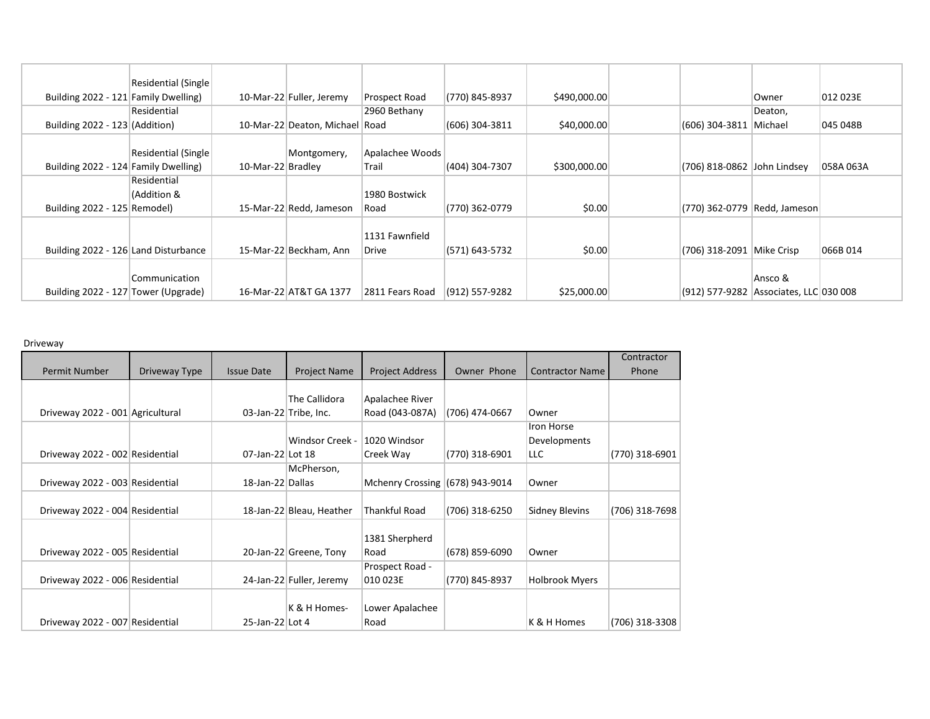|                                      | Residential (Single) |                   |                           |                 |                    |              |                             |                                        |           |
|--------------------------------------|----------------------|-------------------|---------------------------|-----------------|--------------------|--------------|-----------------------------|----------------------------------------|-----------|
| Building 2022 - 121 Family Dwelling) |                      |                   | 10-Mar-22 Fuller, Jeremy  | Prospect Road   | (770) 845-8937     | \$490,000.00 |                             | <b>Owner</b>                           | 012 023E  |
|                                      | Residential          |                   |                           | 2960 Bethany    |                    |              |                             | Deaton,                                |           |
| Building $2022 - 123$ (Addition)     |                      |                   | 10-Mar-22 Deaton, Michael | Road            | (606) 304-3811     | \$40,000.00  | (606) 304-3811 Michael      |                                        | 045 048B  |
|                                      |                      |                   |                           |                 |                    |              |                             |                                        |           |
|                                      | Residential (Single) |                   | Montgomery,               | Apalachee Woods |                    |              |                             |                                        |           |
| Building 2022 - 124 Family Dwelling) |                      | 10-Mar-22 Bradley |                           | Trail           | (404) 304-7307     | \$300,000.00 | (706) 818-0862 John Lindsey |                                        | 058A 063A |
|                                      | Residential          |                   |                           |                 |                    |              |                             |                                        |           |
|                                      | (Addition &          |                   |                           | 1980 Bostwick   |                    |              |                             |                                        |           |
| Building 2022 - 125 Remodel)         |                      |                   | 15-Mar-22 Redd, Jameson   | Road            | (770) 362-0779     | \$0.00       |                             | (770) 362-0779   Redd, Jameson         |           |
|                                      |                      |                   |                           |                 |                    |              |                             |                                        |           |
|                                      |                      |                   |                           | 1131 Fawnfield  |                    |              |                             |                                        |           |
| Building 2022 - 126 Land Disturbance |                      |                   | 15-Mar-22 Beckham, Ann    | Drive           | (571) 643-5732     | \$0.00       | (706) 318-2091 Mike Crisp   |                                        | 066B 014  |
|                                      |                      |                   |                           |                 |                    |              |                             |                                        |           |
|                                      | Communication        |                   |                           |                 |                    |              |                             | Ansco &                                |           |
| Building 2022 - 127 Tower (Upgrade)  |                      |                   | 16-Mar-22 AT&T GA 1377    | 2811 Fears Road | $(912) 557 - 9282$ | \$25,000.00  |                             | (912) 577-9282 Associates, LLC 030 008 |           |

Driveway

|                                  |               |                   |                          |                                   |                |                        | Contractor     |
|----------------------------------|---------------|-------------------|--------------------------|-----------------------------------|----------------|------------------------|----------------|
| <b>Permit Number</b>             | Driveway Type | <b>Issue Date</b> | <b>Project Name</b>      | <b>Project Address</b>            | Owner Phone    | <b>Contractor Name</b> | Phone          |
|                                  |               |                   |                          |                                   |                |                        |                |
|                                  |               |                   | The Callidora            | Apalachee River                   |                |                        |                |
| Driveway 2022 - 001 Agricultural |               |                   | 03-Jan-22 Tribe, Inc.    | Road (043-087A)                   | (706) 474-0667 | Owner                  |                |
|                                  |               |                   |                          |                                   |                | <b>Iron Horse</b>      |                |
|                                  |               |                   | Windsor Creek -          | 1020 Windsor                      |                | Developments           |                |
| Driveway 2022 - 002 Residential  |               | 07-Jan-22 Lot 18  |                          | Creek Way                         | (770) 318-6901 | LLC.                   | (770) 318-6901 |
|                                  |               |                   | McPherson,               |                                   |                |                        |                |
| Driveway 2022 - 003 Residential  |               | 18-Jan-22 Dallas  |                          | Mchenry Crossing $(678)$ 943-9014 |                | Owner                  |                |
|                                  |               |                   |                          |                                   |                |                        |                |
| Driveway 2022 - 004 Residential  |               |                   | 18-Jan-22 Bleau, Heather | <b>Thankful Road</b>              | (706) 318-6250 | <b>Sidney Blevins</b>  | (706) 318-7698 |
|                                  |               |                   |                          |                                   |                |                        |                |
|                                  |               |                   |                          | 1381 Sherpherd                    |                |                        |                |
| Driveway 2022 - 005 Residential  |               |                   | 20-Jan-22 Greene, Tony   | Road                              | (678) 859-6090 | Owner                  |                |
|                                  |               |                   |                          | Prospect Road -                   |                |                        |                |
| Driveway 2022 - 006 Residential  |               |                   | 24-Jan-22 Fuller, Jeremy | 010 023E                          | (770) 845-8937 | <b>Holbrook Myers</b>  |                |
|                                  |               |                   |                          |                                   |                |                        |                |
|                                  |               |                   | K & H Homes-             | Lower Apalachee                   |                |                        |                |
| Driveway 2022 - 007 Residential  |               | 25-Jan-22 Lot 4   |                          | Road                              |                | K & H Homes            | (706) 318-3308 |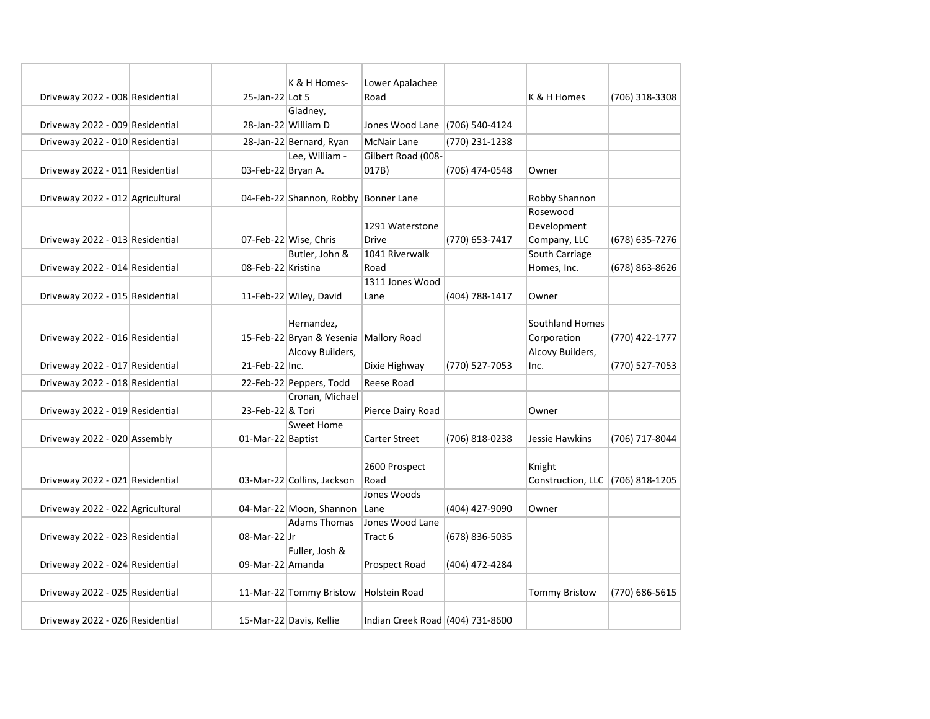| Driveway 2022 - 008 Residential  | 25-Jan-22 Lot 5    | K & H Homes-                         | Lower Apalachee<br>Road          |                | K & H Homes                      | (706) 318-3308 |
|----------------------------------|--------------------|--------------------------------------|----------------------------------|----------------|----------------------------------|----------------|
|                                  |                    | Gladney,                             |                                  |                |                                  |                |
| Driveway 2022 - 009 Residential  |                    | 28-Jan-22 William D                  | Jones Wood Lane (706) 540-4124   |                |                                  |                |
| Driveway 2022 - 010 Residential  |                    | 28-Jan-22 Bernard, Ryan              | <b>McNair Lane</b>               | (770) 231-1238 |                                  |                |
|                                  |                    | Lee, William -                       | Gilbert Road (008-               |                |                                  |                |
| Driveway 2022 - 011 Residential  | 03-Feb-22 Bryan A. |                                      | 017B)                            | (706) 474-0548 | Owner                            |                |
|                                  |                    |                                      |                                  |                |                                  |                |
| Driveway 2022 - 012 Agricultural |                    | 04-Feb-22 Shannon, Robby Bonner Lane |                                  |                | Robby Shannon                    |                |
|                                  |                    |                                      |                                  |                | Rosewood                         |                |
|                                  |                    |                                      | 1291 Waterstone                  |                | Development                      |                |
| Driveway 2022 - 013 Residential  |                    | 07-Feb-22 Wise, Chris                | <b>Drive</b>                     | (770) 653-7417 | Company, LLC                     | (678) 635-7276 |
|                                  |                    | Butler, John &                       | 1041 Riverwalk                   |                | South Carriage                   |                |
| Driveway 2022 - 014 Residential  | 08-Feb-22 Kristina |                                      | Road                             |                | Homes, Inc.                      | (678) 863-8626 |
|                                  |                    |                                      | 1311 Jones Wood                  |                |                                  |                |
| Driveway 2022 - 015 Residential  |                    | 11-Feb-22 Wiley, David               | Lane                             | (404) 788-1417 | Owner                            |                |
|                                  |                    |                                      |                                  |                |                                  |                |
|                                  |                    | Hernandez,                           |                                  |                | <b>Southland Homes</b>           |                |
| Driveway 2022 - 016 Residential  |                    | 15-Feb-22 Bryan & Yesenia            | Mallory Road                     |                | Corporation                      | (770) 422-1777 |
|                                  |                    | Alcovy Builders,                     |                                  |                | <b>Alcovy Builders,</b>          |                |
| Driveway 2022 - 017 Residential  | 21-Feb-22 Inc.     |                                      | Dixie Highway                    | (770) 527-7053 | Inc.                             | (770) 527-7053 |
| Driveway 2022 - 018 Residential  |                    | 22-Feb-22 Peppers, Todd              | Reese Road                       |                |                                  |                |
|                                  |                    | Cronan, Michael                      |                                  |                |                                  |                |
| Driveway 2022 - 019 Residential  | 23-Feb-22 & Tori   |                                      | Pierce Dairy Road                |                | Owner                            |                |
|                                  |                    | Sweet Home                           |                                  |                |                                  |                |
| Driveway 2022 - 020 Assembly     | 01-Mar-22 Baptist  |                                      | <b>Carter Street</b>             | (706) 818-0238 | Jessie Hawkins                   | (706) 717-8044 |
|                                  |                    |                                      |                                  |                |                                  |                |
|                                  |                    |                                      | 2600 Prospect                    |                | Knight                           |                |
| Driveway 2022 - 021 Residential  |                    | 03-Mar-22 Collins, Jackson           | Road                             |                | Construction, LLC (706) 818-1205 |                |
|                                  |                    |                                      | Jones Woods                      |                |                                  |                |
| Driveway 2022 - 022 Agricultural |                    | 04-Mar-22 Moon, Shannon              | Lane                             | (404) 427-9090 | Owner                            |                |
|                                  |                    | <b>Adams Thomas</b>                  | Jones Wood Lane                  |                |                                  |                |
| Driveway 2022 - 023 Residential  | 08-Mar-22 Jr       |                                      | Tract 6                          | (678) 836-5035 |                                  |                |
|                                  |                    | Fuller, Josh &                       |                                  |                |                                  |                |
| Driveway 2022 - 024 Residential  | 09-Mar-22 Amanda   |                                      | Prospect Road                    | (404) 472-4284 |                                  |                |
|                                  |                    |                                      |                                  |                |                                  |                |
| Driveway 2022 - 025 Residential  |                    | 11-Mar-22 Tommy Bristow              | Holstein Road                    |                | <b>Tommy Bristow</b>             | (770) 686-5615 |
|                                  |                    |                                      |                                  |                |                                  |                |
| Driveway 2022 - 026 Residential  |                    | 15-Mar-22 Davis, Kellie              | Indian Creek Road (404) 731-8600 |                |                                  |                |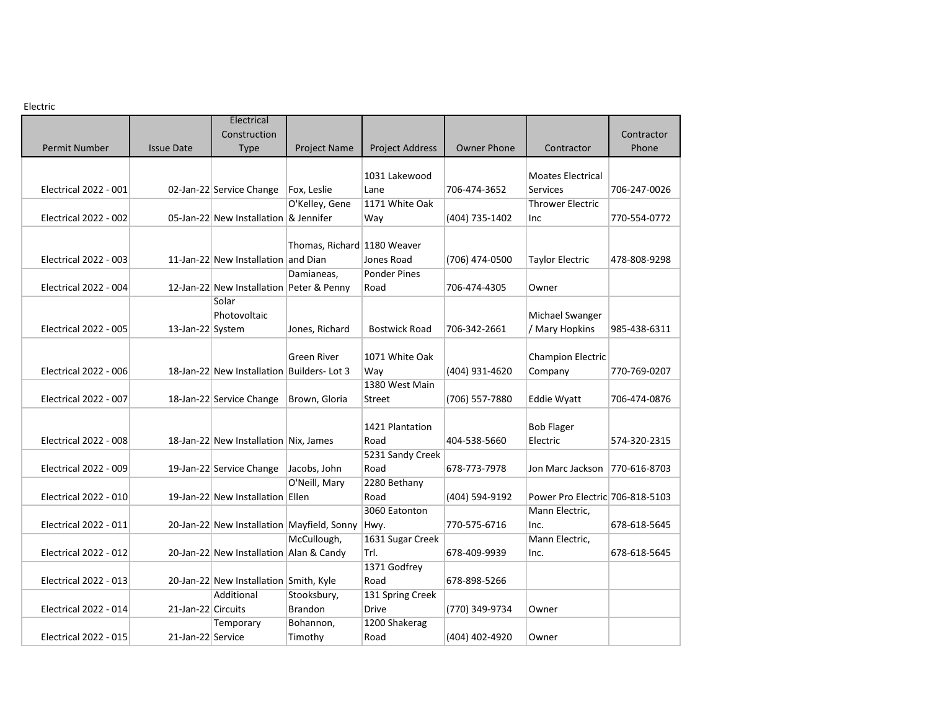Electric

| 느 しししい にし                    |                    |                                            |                             |                        |                    |                                 |              |
|------------------------------|--------------------|--------------------------------------------|-----------------------------|------------------------|--------------------|---------------------------------|--------------|
|                              |                    | Electrical<br>Construction                 |                             |                        |                    |                                 | Contractor   |
| Permit Number                | <b>Issue Date</b>  | <b>Type</b>                                | <b>Project Name</b>         | <b>Project Address</b> | <b>Owner Phone</b> | Contractor                      | Phone        |
|                              |                    |                                            |                             |                        |                    |                                 |              |
|                              |                    |                                            |                             | 1031 Lakewood          |                    | <b>Moates Electrical</b>        |              |
| <b>Electrical 2022 - 001</b> |                    | 02-Jan-22 Service Change                   | Fox, Leslie                 | Lane                   | 706-474-3652       | <b>Services</b>                 | 706-247-0026 |
|                              |                    |                                            | O'Kelley, Gene              | 1171 White Oak         |                    | <b>Thrower Electric</b>         |              |
| Electrical 2022 - 002        |                    | 05-Jan-22 New Installation & Jennifer      |                             | Way                    | (404) 735-1402     | Inc.                            | 770-554-0772 |
|                              |                    |                                            |                             |                        |                    |                                 |              |
|                              |                    |                                            | Thomas, Richard 1180 Weaver |                        |                    |                                 |              |
| Electrical 2022 - 003        |                    | 11-Jan-22 New Installation and Dian        |                             | Jones Road             | (706) 474-0500     | <b>Taylor Electric</b>          | 478-808-9298 |
|                              |                    |                                            | Damianeas,                  | <b>Ponder Pines</b>    |                    |                                 |              |
| Electrical 2022 - 004        |                    | 12-Jan-22 New Installation Peter & Penny   |                             | Road                   | 706-474-4305       | Owner                           |              |
|                              |                    | Solar                                      |                             |                        |                    |                                 |              |
|                              |                    | Photovoltaic                               |                             |                        |                    | Michael Swanger                 |              |
| <b>Electrical 2022 - 005</b> | 13-Jan-22 System   |                                            | Jones, Richard              | <b>Bostwick Road</b>   | 706-342-2661       | / Mary Hopkins                  | 985-438-6311 |
|                              |                    |                                            |                             |                        |                    |                                 |              |
|                              |                    |                                            | <b>Green River</b>          | 1071 White Oak         |                    | <b>Champion Electric</b>        |              |
| Electrical 2022 - 006        |                    | 18-Jan-22 New Installation Builders-Lot 3  |                             | Way                    | (404) 931-4620     | Company                         | 770-769-0207 |
|                              |                    |                                            |                             | 1380 West Main         |                    |                                 |              |
| Electrical 2022 - 007        |                    | 18-Jan-22 Service Change                   | Brown, Gloria               | Street                 | (706) 557-7880     | <b>Eddie Wyatt</b>              | 706-474-0876 |
|                              |                    |                                            |                             |                        |                    |                                 |              |
|                              |                    |                                            |                             | 1421 Plantation        |                    | <b>Bob Flager</b>               |              |
| Electrical 2022 - 008        |                    | 18-Jan-22 New Installation Nix, James      |                             | Road                   | 404-538-5660       | Electric                        | 574-320-2315 |
|                              |                    |                                            |                             | 5231 Sandy Creek       |                    |                                 |              |
| <b>Electrical 2022 - 009</b> |                    | 19-Jan-22 Service Change                   | Jacobs, John                | Road                   | 678-773-7978       | Jon Marc Jackson                | 770-616-8703 |
|                              |                    |                                            | O'Neill, Mary               | 2280 Bethany           |                    |                                 |              |
| Electrical 2022 - 010        |                    | 19-Jan-22 New Installation Ellen           |                             | Road                   | (404) 594-9192     | Power Pro Electric 706-818-5103 |              |
|                              |                    |                                            |                             | 3060 Eatonton          |                    | Mann Electric,                  |              |
| <b>Electrical 2022 - 011</b> |                    | 20-Jan-22 New Installation Mayfield, Sonny |                             | Hwy.                   | 770-575-6716       | Inc.                            | 678-618-5645 |
|                              |                    |                                            | McCullough,                 | 1631 Sugar Creek       |                    | Mann Electric,                  |              |
| Electrical 2022 - 012        |                    | 20-Jan-22 New Installation Alan & Candy    |                             | Trl.                   | 678-409-9939       | Inc.                            | 678-618-5645 |
|                              |                    |                                            |                             | 1371 Godfrey           |                    |                                 |              |
| <b>Electrical 2022 - 013</b> |                    | 20-Jan-22 New Installation Smith, Kyle     |                             | Road                   | 678-898-5266       |                                 |              |
|                              |                    | Additional                                 | Stooksbury,                 | 131 Spring Creek       |                    |                                 |              |
| Electrical 2022 - 014        | 21-Jan-22 Circuits |                                            | Brandon                     | <b>Drive</b>           | (770) 349-9734     | Owner                           |              |
|                              |                    | Temporary                                  | Bohannon,                   | 1200 Shakerag          |                    |                                 |              |
| <b>Electrical 2022 - 015</b> | 21-Jan-22 Service  |                                            | Timothy                     | Road                   | (404) 402-4920     | Owner                           |              |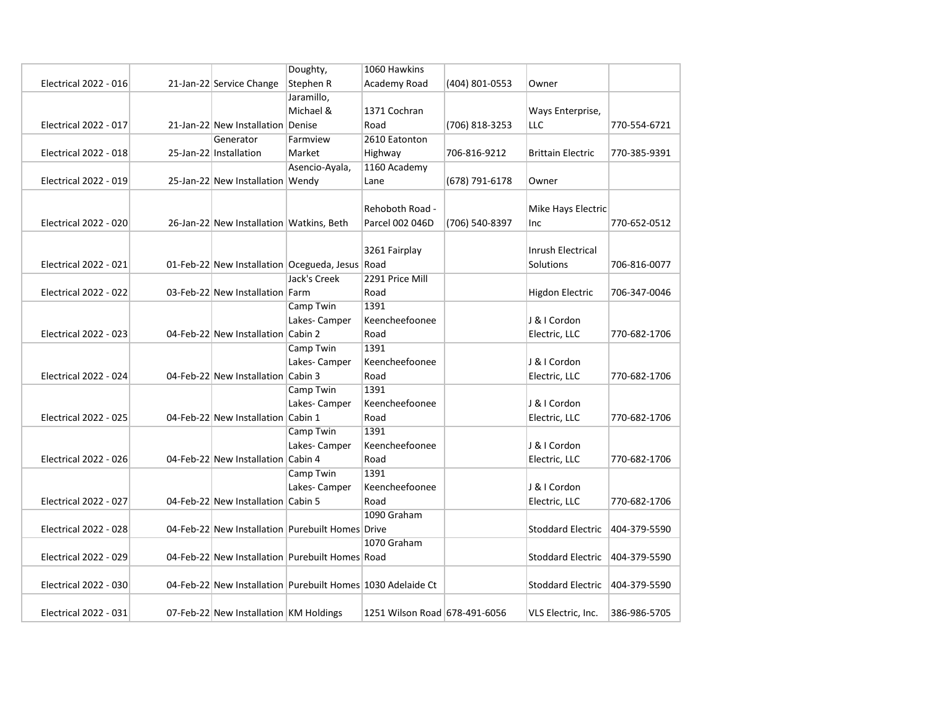|                              |                                          | Doughty,                                         | 1060 Hawkins                                                |                |                          |              |
|------------------------------|------------------------------------------|--------------------------------------------------|-------------------------------------------------------------|----------------|--------------------------|--------------|
| <b>Electrical 2022 - 016</b> | 21-Jan-22 Service Change                 | Stephen R                                        | Academy Road                                                | (404) 801-0553 | Owner                    |              |
|                              |                                          | Jaramillo,                                       |                                                             |                |                          |              |
|                              |                                          | Michael &                                        | 1371 Cochran                                                |                | Ways Enterprise,         |              |
| <b>Electrical 2022 - 017</b> | 21-Jan-22 New Installation Denise        |                                                  | Road                                                        | (706) 818-3253 | LLC                      | 770-554-6721 |
|                              | Generator                                | Farmview                                         | 2610 Eatonton                                               |                |                          |              |
| Electrical 2022 - 018        | 25-Jan-22 Installation                   | Market                                           | Highway                                                     | 706-816-9212   | <b>Brittain Electric</b> | 770-385-9391 |
|                              |                                          | Asencio-Ayala,                                   | 1160 Academy                                                |                |                          |              |
| <b>Electrical 2022 - 019</b> | 25-Jan-22 New Installation Wendy         |                                                  | Lane                                                        | (678) 791-6178 | Owner                    |              |
|                              |                                          |                                                  |                                                             |                |                          |              |
|                              |                                          |                                                  | Rehoboth Road -                                             |                | Mike Hays Electric       |              |
| <b>Electrical 2022 - 020</b> | 26-Jan-22 New Installation Watkins, Beth |                                                  | Parcel 002 046D                                             | (706) 540-8397 | Inc                      | 770-652-0512 |
|                              |                                          |                                                  |                                                             |                |                          |              |
|                              |                                          |                                                  | 3261 Fairplay                                               |                | <b>Inrush Electrical</b> |              |
| <b>Electrical 2022 - 021</b> |                                          | 01-Feb-22 New Installation Ocegueda, Jesus Road  |                                                             |                | Solutions                | 706-816-0077 |
|                              |                                          | Jack's Creek                                     | 2291 Price Mill                                             |                |                          |              |
| <b>Electrical 2022 - 022</b> | 03-Feb-22 New Installation Farm          |                                                  | Road                                                        |                | <b>Higdon Electric</b>   | 706-347-0046 |
|                              |                                          | Camp Twin                                        | 1391                                                        |                |                          |              |
|                              |                                          | Lakes-Camper                                     | Keencheefoonee                                              |                | J & I Cordon             |              |
| <b>Electrical 2022 - 023</b> | 04-Feb-22 New Installation Cabin 2       |                                                  | Road                                                        |                | Electric, LLC            | 770-682-1706 |
|                              |                                          | Camp Twin                                        | 1391                                                        |                |                          |              |
|                              |                                          | Lakes-Camper                                     | Keencheefoonee                                              |                | J & I Cordon             |              |
| <b>Electrical 2022 - 024</b> | 04-Feb-22 New Installation Cabin 3       |                                                  | Road                                                        |                | Electric, LLC            | 770-682-1706 |
|                              |                                          | Camp Twin                                        | 1391                                                        |                |                          |              |
|                              |                                          | Lakes-Camper                                     | Keencheefoonee                                              |                | J & I Cordon             |              |
| <b>Electrical 2022 - 025</b> | 04-Feb-22 New Installation Cabin 1       |                                                  | Road                                                        |                | Electric, LLC            | 770-682-1706 |
|                              |                                          | Camp Twin                                        | 1391                                                        |                |                          |              |
|                              |                                          | Lakes-Camper                                     | Keencheefoonee                                              |                | J & I Cordon             |              |
| <b>Electrical 2022 - 026</b> | 04-Feb-22 New Installation Cabin 4       |                                                  | Road                                                        |                | Electric, LLC            | 770-682-1706 |
|                              |                                          | Camp Twin                                        | 1391                                                        |                |                          |              |
|                              |                                          | Lakes-Camper                                     | Keencheefoonee                                              |                | J & I Cordon             |              |
| <b>Electrical 2022 - 027</b> | 04-Feb-22 New Installation Cabin 5       |                                                  | Road                                                        |                | Electric, LLC            | 770-682-1706 |
|                              |                                          |                                                  | 1090 Graham                                                 |                |                          |              |
| Electrical 2022 - 028        |                                          | 04-Feb-22 New Installation Purebuilt Homes Drive |                                                             |                | <b>Stoddard Electric</b> | 404-379-5590 |
|                              |                                          |                                                  | 1070 Graham                                                 |                |                          |              |
| Electrical 2022 - 029        |                                          | 04-Feb-22 New Installation Purebuilt Homes Road  |                                                             |                | <b>Stoddard Electric</b> | 404-379-5590 |
|                              |                                          |                                                  |                                                             |                |                          |              |
| <b>Electrical 2022 - 030</b> |                                          |                                                  | 04-Feb-22 New Installation Purebuilt Homes 1030 Adelaide Ct |                | <b>Stoddard Electric</b> | 404-379-5590 |
|                              |                                          |                                                  |                                                             |                |                          |              |
| <b>Electrical 2022 - 031</b> | 07-Feb-22 New Installation KM Holdings   |                                                  | 1251 Wilson Road 678-491-6056                               |                | VLS Electric, Inc.       | 386-986-5705 |
|                              |                                          |                                                  |                                                             |                |                          |              |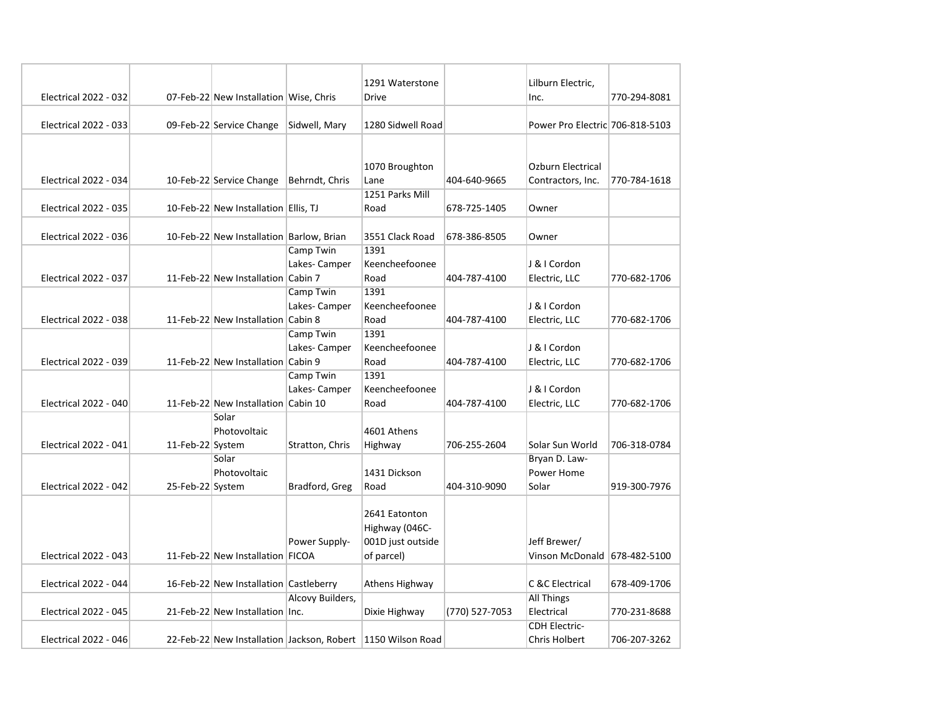|                              |                  |                                          |                  | 1291 Waterstone                                             |                | Lilburn Electric,               |              |
|------------------------------|------------------|------------------------------------------|------------------|-------------------------------------------------------------|----------------|---------------------------------|--------------|
| <b>Electrical 2022 - 032</b> |                  | 07-Feb-22 New Installation Wise, Chris   |                  | Drive                                                       |                | Inc.                            | 770-294-8081 |
| <b>Electrical 2022 - 033</b> |                  | 09-Feb-22 Service Change                 | Sidwell, Mary    | 1280 Sidwell Road                                           |                | Power Pro Electric 706-818-5103 |              |
|                              |                  |                                          |                  |                                                             |                |                                 |              |
|                              |                  |                                          |                  |                                                             |                |                                 |              |
|                              |                  |                                          |                  | 1070 Broughton                                              |                | <b>Ozburn Electrical</b>        |              |
| <b>Electrical 2022 - 034</b> |                  | 10-Feb-22 Service Change                 | Behrndt, Chris   | Lane                                                        | 404-640-9665   | Contractors, Inc.               | 770-784-1618 |
|                              |                  |                                          |                  | 1251 Parks Mill                                             |                |                                 |              |
| <b>Electrical 2022 - 035</b> |                  | 10-Feb-22 New Installation Ellis, TJ     |                  | Road                                                        | 678-725-1405   | Owner                           |              |
| Electrical 2022 - 036        |                  | 10-Feb-22 New Installation Barlow, Brian |                  | 3551 Clack Road                                             | 678-386-8505   | Owner                           |              |
|                              |                  |                                          | Camp Twin        | 1391                                                        |                |                                 |              |
|                              |                  |                                          | Lakes-Camper     | Keencheefoonee                                              |                | J & I Cordon                    |              |
| <b>Electrical 2022 - 037</b> |                  | 11-Feb-22 New Installation Cabin 7       |                  | Road                                                        | 404-787-4100   | Electric, LLC                   | 770-682-1706 |
|                              |                  |                                          | Camp Twin        | 1391                                                        |                |                                 |              |
|                              |                  |                                          | Lakes-Camper     | Keencheefoonee                                              |                | J & I Cordon                    |              |
| Electrical 2022 - 038        |                  | 11-Feb-22 New Installation Cabin 8       |                  | Road                                                        | 404-787-4100   | Electric, LLC                   | 770-682-1706 |
|                              |                  |                                          | Camp Twin        | 1391                                                        |                |                                 |              |
|                              |                  |                                          | Lakes-Camper     | Keencheefoonee                                              |                | J & I Cordon                    |              |
| Electrical 2022 - 039        |                  | 11-Feb-22 New Installation Cabin 9       |                  | Road                                                        | 404-787-4100   | Electric, LLC                   | 770-682-1706 |
|                              |                  |                                          | Camp Twin        | 1391                                                        |                |                                 |              |
|                              |                  |                                          | Lakes-Camper     | Keencheefoonee                                              |                | J & I Cordon                    |              |
| Electrical 2022 - 040        |                  | 11-Feb-22 New Installation Cabin 10      |                  | Road                                                        | 404-787-4100   | Electric, LLC                   | 770-682-1706 |
|                              |                  | Solar                                    |                  |                                                             |                |                                 |              |
|                              |                  | Photovoltaic                             |                  | 4601 Athens                                                 |                |                                 |              |
| Electrical 2022 - 041        | 11-Feb-22 System |                                          | Stratton, Chris  | Highway                                                     | 706-255-2604   | Solar Sun World                 | 706-318-0784 |
|                              |                  | Solar<br>Photovoltaic                    |                  | 1431 Dickson                                                |                | Bryan D. Law-<br>Power Home     |              |
| <b>Electrical 2022 - 042</b> | 25-Feb-22 System |                                          | Bradford, Greg   | Road                                                        | 404-310-9090   | Solar                           | 919-300-7976 |
|                              |                  |                                          |                  |                                                             |                |                                 |              |
|                              |                  |                                          |                  | 2641 Eatonton                                               |                |                                 |              |
|                              |                  |                                          |                  | Highway (046C-                                              |                |                                 |              |
|                              |                  |                                          | Power Supply-    | 001D just outside                                           |                | Jeff Brewer/                    |              |
| <b>Electrical 2022 - 043</b> |                  | 11-Feb-22 New Installation FICOA         |                  | of parcel)                                                  |                | Vinson McDonald 678-482-5100    |              |
|                              |                  |                                          |                  |                                                             |                |                                 |              |
| Electrical 2022 - 044        |                  | 16-Feb-22 New Installation Castleberry   |                  | Athens Highway                                              |                | C &C Electrical                 | 678-409-1706 |
|                              |                  |                                          | Alcovy Builders, |                                                             |                | <b>All Things</b>               |              |
| <b>Electrical 2022 - 045</b> |                  | 21-Feb-22 New Installation Inc.          |                  | Dixie Highway                                               | (770) 527-7053 | Electrical                      | 770-231-8688 |
|                              |                  |                                          |                  |                                                             |                | <b>CDH Electric-</b>            |              |
| <b>Electrical 2022 - 046</b> |                  |                                          |                  | 22-Feb-22 New Installation Jackson, Robert 1150 Wilson Road |                | <b>Chris Holbert</b>            | 706-207-3262 |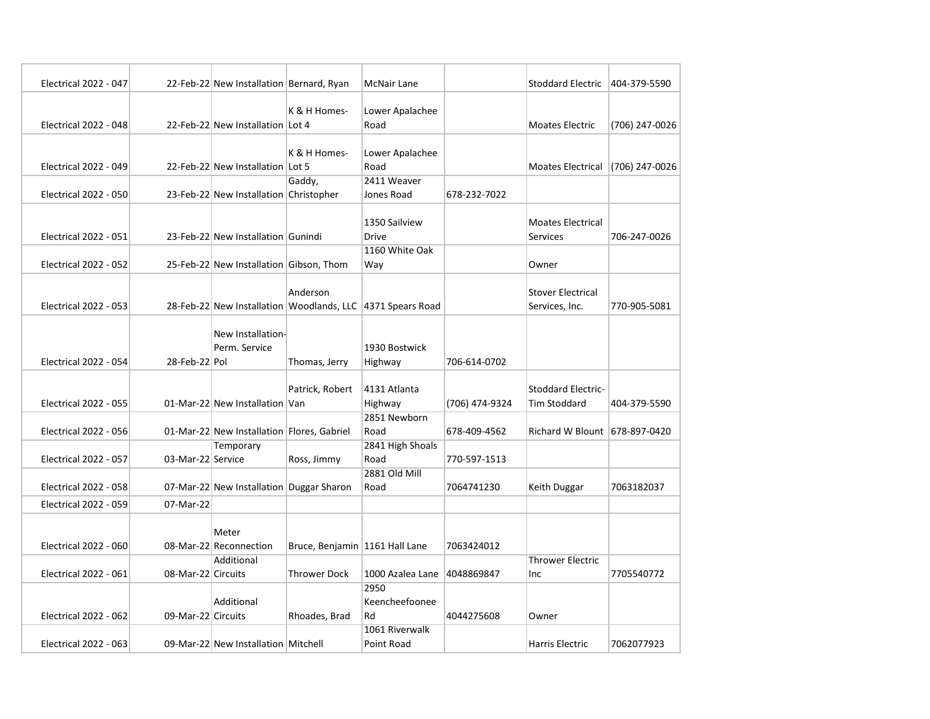| <b>Electrical 2022 - 047</b> |                    | 22-Feb-22 New Installation Bernard, Ryan   |                                  | <b>McNair Lane</b>                                         |                | <b>Stoddard Electric</b>      | 404-379-5590   |
|------------------------------|--------------------|--------------------------------------------|----------------------------------|------------------------------------------------------------|----------------|-------------------------------|----------------|
|                              |                    |                                            |                                  |                                                            |                |                               |                |
|                              |                    |                                            | K & H Homes-                     | Lower Apalachee                                            |                |                               |                |
| Electrical 2022 - 048        |                    | 22-Feb-22 New Installation Lot 4           |                                  | Road                                                       |                | Moates Electric               | (706) 247-0026 |
|                              |                    |                                            |                                  |                                                            |                |                               |                |
|                              |                    |                                            | K & H Homes-                     | Lower Apalachee                                            |                |                               |                |
| <b>Electrical 2022 - 049</b> |                    | 22-Feb-22 New Installation Lot 5           |                                  | Road                                                       |                | <b>Moates Electrical</b>      | (706) 247-0026 |
|                              |                    |                                            | Gaddy,                           | 2411 Weaver                                                |                |                               |                |
| <b>Electrical 2022 - 050</b> |                    | 23-Feb-22 New Installation Christopher     |                                  | Jones Road                                                 | 678-232-7022   |                               |                |
|                              |                    |                                            |                                  |                                                            |                |                               |                |
|                              |                    |                                            |                                  | 1350 Sailview                                              |                | <b>Moates Electrical</b>      |                |
| <b>Electrical 2022 - 051</b> |                    | 23-Feb-22 New Installation Gunindi         |                                  | <b>Drive</b>                                               |                | <b>Services</b>               | 706-247-0026   |
|                              |                    |                                            |                                  | 1160 White Oak                                             |                |                               |                |
| <b>Electrical 2022 - 052</b> |                    | 25-Feb-22 New Installation Gibson, Thom    |                                  | Way                                                        |                | Owner                         |                |
|                              |                    |                                            |                                  |                                                            |                |                               |                |
|                              |                    |                                            | Anderson                         |                                                            |                | <b>Stover Electrical</b>      |                |
| <b>Electrical 2022 - 053</b> |                    |                                            |                                  | 28-Feb-22 New Installation Woodlands, LLC 4371 Spears Road |                | Services, Inc.                | 770-905-5081   |
|                              |                    |                                            |                                  |                                                            |                |                               |                |
|                              |                    | New Installation-                          |                                  |                                                            |                |                               |                |
|                              |                    | Perm. Service                              |                                  | 1930 Bostwick                                              |                |                               |                |
| <b>Electrical 2022 - 054</b> | 28-Feb-22 Pol      |                                            | Thomas, Jerry                    | Highway                                                    | 706-614-0702   |                               |                |
|                              |                    |                                            | Patrick, Robert                  | 4131 Atlanta                                               |                | Stoddard Electric-            |                |
| <b>Electrical 2022 - 055</b> |                    | 01-Mar-22 New Installation Van             |                                  | Highway                                                    | (706) 474-9324 | <b>Tim Stoddard</b>           | 404-379-5590   |
|                              |                    |                                            |                                  | 2851 Newborn                                               |                |                               |                |
| <b>Electrical 2022 - 056</b> |                    | 01-Mar-22 New Installation Flores, Gabriel |                                  | Road                                                       | 678-409-4562   | Richard W Blount 678-897-0420 |                |
|                              |                    | Temporary                                  |                                  | 2841 High Shoals                                           |                |                               |                |
| <b>Electrical 2022 - 057</b> | 03-Mar-22 Service  |                                            | Ross, Jimmy                      | Road                                                       | 770-597-1513   |                               |                |
|                              |                    |                                            |                                  | 2881 Old Mill                                              |                |                               |                |
| <b>Electrical 2022 - 058</b> |                    | 07-Mar-22 New Installation Duggar Sharon   |                                  | Road                                                       | 7064741230     | Keith Duggar                  | 7063182037     |
| <b>Electrical 2022 - 059</b> | 07-Mar-22          |                                            |                                  |                                                            |                |                               |                |
|                              |                    |                                            |                                  |                                                            |                |                               |                |
|                              |                    | Meter                                      |                                  |                                                            |                |                               |                |
| <b>Electrical 2022 - 060</b> |                    | 08-Mar-22 Reconnection                     | Bruce, Benjamin   1161 Hall Lane |                                                            | 7063424012     |                               |                |
|                              |                    | Additional                                 |                                  |                                                            |                | <b>Thrower Electric</b>       |                |
| <b>Electrical 2022 - 061</b> | 08-Mar-22 Circuits |                                            | <b>Thrower Dock</b>              | 1000 Azalea Lane                                           | 4048869847     | Inc                           | 7705540772     |
|                              |                    |                                            |                                  | 2950                                                       |                |                               |                |
|                              |                    | Additional                                 |                                  | Keencheefoonee                                             |                |                               |                |
| <b>Electrical 2022 - 062</b> | 09-Mar-22 Circuits |                                            | Rhoades, Brad                    | Rd                                                         | 4044275608     | Owner                         |                |
|                              |                    |                                            |                                  | 1061 Riverwalk                                             |                |                               |                |
| Electrical 2022 - 063        |                    | 09-Mar-22 New Installation Mitchell        |                                  | Point Road                                                 |                | Harris Electric               | 7062077923     |
|                              |                    |                                            |                                  |                                                            |                |                               |                |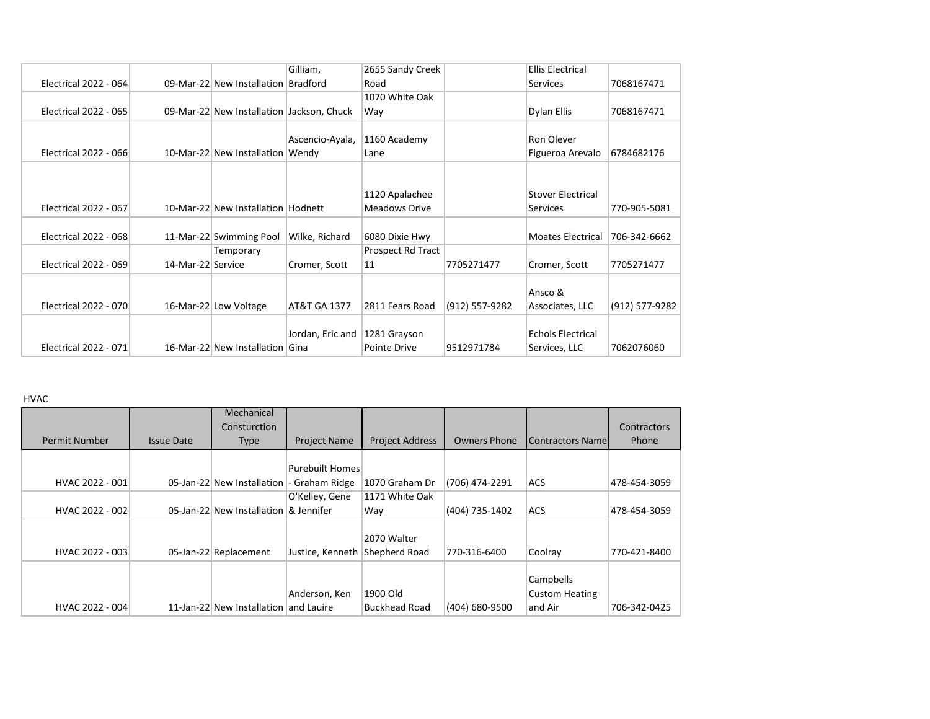|                              |                                                              |           | Gilliam,                                                              | 2655 Sandy Creek                                                                                                                                                                                                                    |                                | <b>Ellis Electrical</b>  |                                                                 |
|------------------------------|--------------------------------------------------------------|-----------|-----------------------------------------------------------------------|-------------------------------------------------------------------------------------------------------------------------------------------------------------------------------------------------------------------------------------|--------------------------------|--------------------------|-----------------------------------------------------------------|
| <b>Electrical 2022 - 064</b> |                                                              |           |                                                                       | Road                                                                                                                                                                                                                                |                                | <b>Services</b>          | 7068167471                                                      |
|                              |                                                              |           |                                                                       | 1070 White Oak                                                                                                                                                                                                                      |                                |                          |                                                                 |
| <b>Electrical 2022 - 065</b> |                                                              |           |                                                                       | Way                                                                                                                                                                                                                                 |                                | Dylan Ellis              | 7068167471                                                      |
|                              |                                                              |           |                                                                       |                                                                                                                                                                                                                                     |                                |                          |                                                                 |
|                              |                                                              |           | Ascencio-Ayala,                                                       | 1160 Academy                                                                                                                                                                                                                        |                                | Ron Olever               |                                                                 |
| Electrical 2022 - 066        |                                                              |           |                                                                       | Lane                                                                                                                                                                                                                                |                                | Figueroa Arevalo         | 6784682176                                                      |
|                              |                                                              |           |                                                                       |                                                                                                                                                                                                                                     |                                |                          |                                                                 |
|                              |                                                              |           |                                                                       |                                                                                                                                                                                                                                     |                                |                          |                                                                 |
|                              |                                                              |           |                                                                       | 1120 Apalachee                                                                                                                                                                                                                      |                                | <b>Stover Electrical</b> |                                                                 |
| <b>Electrical 2022 - 067</b> |                                                              |           |                                                                       | Meadows Drive                                                                                                                                                                                                                       |                                | <b>Services</b>          | 770-905-5081                                                    |
|                              |                                                              |           |                                                                       |                                                                                                                                                                                                                                     |                                |                          |                                                                 |
|                              |                                                              |           |                                                                       |                                                                                                                                                                                                                                     |                                |                          | 706-342-6662                                                    |
|                              |                                                              | Temporary |                                                                       | Prospect Rd Tract                                                                                                                                                                                                                   |                                |                          |                                                                 |
| <b>Electrical 2022 - 069</b> |                                                              |           | Cromer, Scott                                                         | 11                                                                                                                                                                                                                                  | 7705271477                     | Cromer, Scott            | 7705271477                                                      |
|                              |                                                              |           |                                                                       |                                                                                                                                                                                                                                     |                                |                          |                                                                 |
|                              |                                                              |           |                                                                       |                                                                                                                                                                                                                                     |                                |                          |                                                                 |
| Electrical 2022 - 070        |                                                              |           | AT&T GA 1377                                                          | 2811 Fears Road                                                                                                                                                                                                                     | (912) 557-9282                 | Associates, LLC          | (912) 577-9282                                                  |
|                              |                                                              |           |                                                                       |                                                                                                                                                                                                                                     |                                |                          |                                                                 |
|                              |                                                              |           |                                                                       |                                                                                                                                                                                                                                     |                                |                          |                                                                 |
|                              |                                                              |           |                                                                       | Pointe Drive                                                                                                                                                                                                                        | 9512971784                     | Services, LLC            | 7062076060                                                      |
|                              | <b>Electrical 2022 - 068</b><br><b>Electrical 2022 - 071</b> |           | 11-Mar-22 Swimming Pool<br>14-Mar-22 Service<br>16-Mar-22 Low Voltage | 09-Mar-22 New Installation Bradford<br>09-Mar-22 New Installation Jackson, Chuck<br>10-Mar-22 New Installation Wendy<br>10-Mar-22 New Installation Hodnett<br>Wilke, Richard<br>Jordan, Eric and<br>16-Mar-22 New Installation Gina | 6080 Dixie Hwy<br>1281 Grayson |                          | <b>Moates Electrical</b><br>Ansco &<br><b>Echols Electrical</b> |

HVAC

|                 |                   | Mechanical                            |                        |                        |                     |                         |              |
|-----------------|-------------------|---------------------------------------|------------------------|------------------------|---------------------|-------------------------|--------------|
|                 |                   | Consturction                          |                        |                        |                     |                         | Contractors  |
| Permit Number   | <b>Issue Date</b> | <b>Type</b>                           | <b>Project Name</b>    | <b>Project Address</b> | <b>Owners Phone</b> | <b>Contractors Name</b> | <b>Phone</b> |
|                 |                   |                                       |                        |                        |                     |                         |              |
|                 |                   |                                       | <b>Purebuilt Homes</b> |                        |                     |                         |              |
| HVAC 2022 - 001 |                   | 05-Jan-22 New Installation            | - Graham Ridge         | 1070 Graham Dr         | (706) 474-2291      | <b>ACS</b>              | 478-454-3059 |
|                 |                   |                                       | O'Kelley, Gene         | 1171 White Oak         |                     |                         |              |
| HVAC 2022 - 002 |                   | 05-Jan-22 New Installation & Jennifer |                        | Way                    | (404) 735-1402      | <b>ACS</b>              | 478-454-3059 |
|                 |                   |                                       |                        |                        |                     |                         |              |
|                 |                   |                                       |                        | 2070 Walter            |                     |                         |              |
| HVAC 2022 - 003 |                   | 05-Jan-22 Replacement                 | Justice, Kenneth       | Shepherd Road          | 770-316-6400        | Coolray                 | 770-421-8400 |
|                 |                   |                                       |                        |                        |                     |                         |              |
|                 |                   |                                       |                        |                        |                     | Campbells               |              |
|                 |                   |                                       | Anderson, Ken          | 1900 Old               |                     | <b>Custom Heating</b>   |              |
| HVAC 2022 - 004 |                   | 11-Jan-22 New Installation            | and Lauire             | <b>Buckhead Road</b>   | (404) 680-9500      | and Air                 | 706-342-0425 |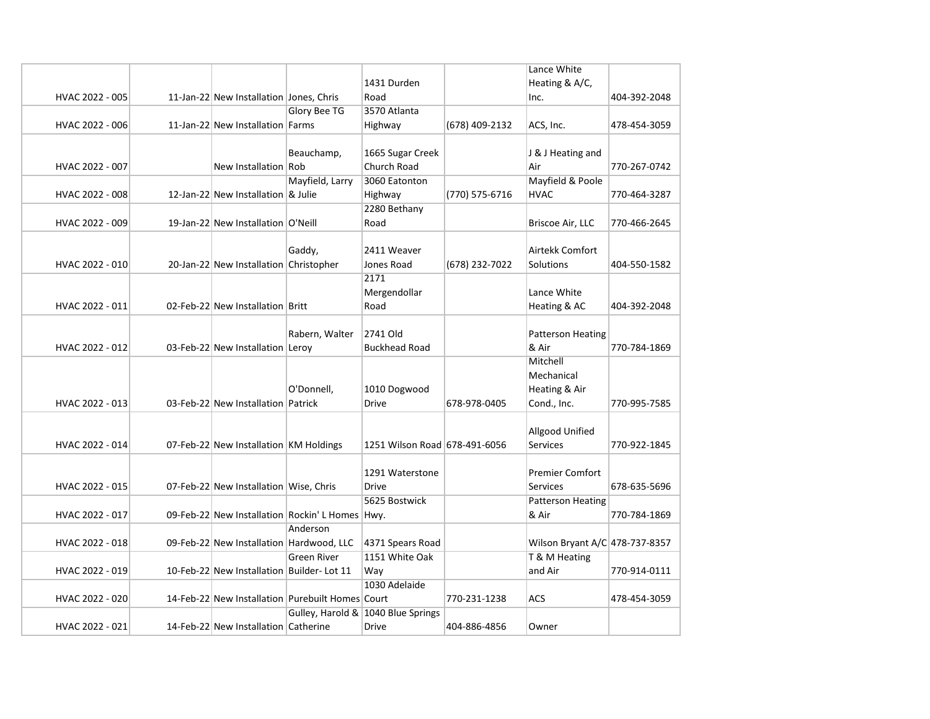|                 |                                           |                                                  |                                    |                | Lance White                    |              |
|-----------------|-------------------------------------------|--------------------------------------------------|------------------------------------|----------------|--------------------------------|--------------|
|                 |                                           |                                                  | 1431 Durden                        |                | Heating & A/C,                 |              |
| HVAC 2022 - 005 | 11-Jan-22 New Installation Jones, Chris   |                                                  | Road                               |                | Inc.                           | 404-392-2048 |
|                 |                                           | <b>Glory Bee TG</b>                              | 3570 Atlanta                       |                |                                |              |
| HVAC 2022 - 006 | 11-Jan-22 New Installation Farms          |                                                  | Highway                            | (678) 409-2132 | ACS, Inc.                      | 478-454-3059 |
|                 |                                           |                                                  |                                    |                |                                |              |
|                 |                                           | Beauchamp,                                       | 1665 Sugar Creek                   |                | J & J Heating and              |              |
| HVAC 2022 - 007 | New Installation Rob                      |                                                  | Church Road                        |                | Air                            | 770-267-0742 |
|                 |                                           | Mayfield, Larry                                  | 3060 Eatonton                      |                | Mayfield & Poole               |              |
| HVAC 2022 - 008 | 12-Jan-22 New Installation & Julie        |                                                  | Highway                            | (770) 575-6716 | <b>HVAC</b>                    | 770-464-3287 |
|                 |                                           |                                                  | 2280 Bethany                       |                |                                |              |
| HVAC 2022 - 009 | 19-Jan-22 New Installation O'Neill        |                                                  | Road                               |                | Briscoe Air, LLC               | 770-466-2645 |
|                 |                                           |                                                  |                                    |                |                                |              |
|                 |                                           | Gaddy,                                           | 2411 Weaver                        |                | Airtekk Comfort                |              |
| HVAC 2022 - 010 | 20-Jan-22 New Installation Christopher    |                                                  | Jones Road                         | (678) 232-7022 | Solutions                      | 404-550-1582 |
|                 |                                           |                                                  | 2171                               |                |                                |              |
|                 |                                           |                                                  | Mergendollar                       |                | Lance White                    |              |
| HVAC 2022 - 011 | 02-Feb-22 New Installation Britt          |                                                  | Road                               |                | Heating & AC                   | 404-392-2048 |
|                 |                                           |                                                  |                                    |                |                                |              |
|                 |                                           | Rabern, Walter                                   | 2741 Old                           |                | <b>Patterson Heating</b>       |              |
| HVAC 2022 - 012 | 03-Feb-22 New Installation Leroy          |                                                  | <b>Buckhead Road</b>               |                | & Air                          | 770-784-1869 |
|                 |                                           |                                                  |                                    |                | Mitchell                       |              |
|                 |                                           |                                                  |                                    |                | Mechanical                     |              |
|                 |                                           | O'Donnell,                                       | 1010 Dogwood                       |                | Heating & Air                  |              |
| HVAC 2022 - 013 | 03-Feb-22 New Installation Patrick        |                                                  | <b>Drive</b>                       | 678-978-0405   | Cond., Inc.                    | 770-995-7585 |
|                 |                                           |                                                  |                                    |                |                                |              |
|                 |                                           |                                                  |                                    |                | Allgood Unified                |              |
| HVAC 2022 - 014 | 07-Feb-22 New Installation KM Holdings    |                                                  | 1251 Wilson Road 678-491-6056      |                | <b>Services</b>                | 770-922-1845 |
|                 |                                           |                                                  |                                    |                |                                |              |
|                 |                                           |                                                  | 1291 Waterstone                    |                | <b>Premier Comfort</b>         |              |
| HVAC 2022 - 015 | 07-Feb-22 New Installation Wise, Chris    |                                                  | <b>Drive</b>                       |                | <b>Services</b>                | 678-635-5696 |
|                 |                                           |                                                  | 5625 Bostwick                      |                | <b>Patterson Heating</b>       |              |
| HVAC 2022 - 017 |                                           | 09-Feb-22 New Installation Rockin' L Homes Hwy.  |                                    |                | & Air                          | 770-784-1869 |
|                 |                                           | Anderson                                         |                                    |                |                                |              |
| HVAC 2022 - 018 | 09-Feb-22 New Installation Hardwood, LLC  |                                                  | 4371 Spears Road                   |                | Wilson Bryant A/C 478-737-8357 |              |
|                 |                                           | Green River                                      | 1151 White Oak                     |                | T & M Heating                  |              |
| HVAC 2022 - 019 | 10-Feb-22 New Installation Builder-Lot 11 |                                                  | Way                                |                | and Air                        | 770-914-0111 |
|                 |                                           |                                                  | 1030 Adelaide                      |                |                                |              |
| HVAC 2022 - 020 |                                           | 14-Feb-22 New Installation Purebuilt Homes Court |                                    | 770-231-1238   | ACS                            | 478-454-3059 |
|                 |                                           |                                                  | Gulley, Harold & 1040 Blue Springs |                |                                |              |
| HVAC 2022 - 021 | 14-Feb-22 New Installation Catherine      |                                                  | Drive                              | 404-886-4856   | Owner                          |              |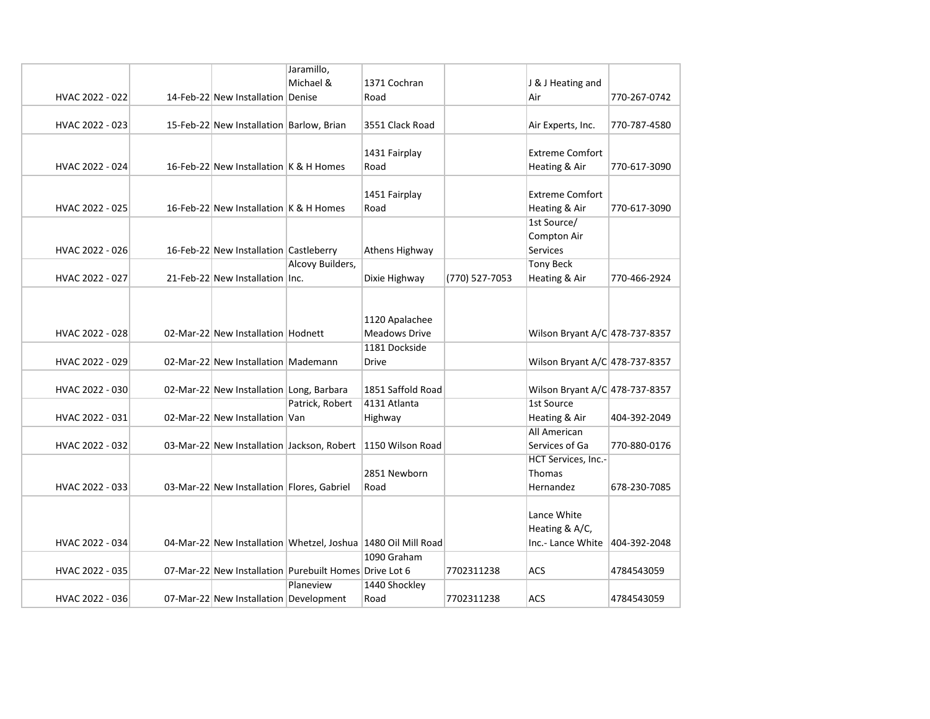|                 |                                            | Jaramillo,                                             |                                                               |                |                                |              |
|-----------------|--------------------------------------------|--------------------------------------------------------|---------------------------------------------------------------|----------------|--------------------------------|--------------|
|                 |                                            | Michael &                                              | 1371 Cochran                                                  |                | J & J Heating and              |              |
| HVAC 2022 - 022 | 14-Feb-22 New Installation Denise          |                                                        | Road                                                          |                | Air                            | 770-267-0742 |
|                 |                                            |                                                        |                                                               |                |                                |              |
| HVAC 2022 - 023 | 15-Feb-22 New Installation Barlow, Brian   |                                                        | 3551 Clack Road                                               |                | Air Experts, Inc.              | 770-787-4580 |
|                 |                                            |                                                        |                                                               |                |                                |              |
|                 |                                            |                                                        | 1431 Fairplay                                                 |                | <b>Extreme Comfort</b>         |              |
| HVAC 2022 - 024 | 16-Feb-22 New Installation K & H Homes     |                                                        | Road                                                          |                | Heating & Air                  | 770-617-3090 |
|                 |                                            |                                                        |                                                               |                |                                |              |
|                 |                                            |                                                        | 1451 Fairplay                                                 |                | <b>Extreme Comfort</b>         |              |
| HVAC 2022 - 025 | 16-Feb-22 New Installation K & H Homes     |                                                        | Road                                                          |                | Heating & Air                  | 770-617-3090 |
|                 |                                            |                                                        |                                                               |                | 1st Source/                    |              |
|                 |                                            |                                                        |                                                               |                | <b>Compton Air</b>             |              |
| HVAC 2022 - 026 | 16-Feb-22 New Installation Castleberry     |                                                        | Athens Highway                                                |                | <b>Services</b>                |              |
|                 |                                            | Alcovy Builders,                                       |                                                               |                | <b>Tony Beck</b>               |              |
| HVAC 2022 - 027 | 21-Feb-22 New Installation Inc.            |                                                        | Dixie Highway                                                 | (770) 527-7053 | Heating & Air                  | 770-466-2924 |
|                 |                                            |                                                        |                                                               |                |                                |              |
|                 |                                            |                                                        |                                                               |                |                                |              |
|                 |                                            |                                                        | 1120 Apalachee                                                |                |                                |              |
| HVAC 2022 - 028 | 02-Mar-22 New Installation Hodnett         |                                                        | <b>Meadows Drive</b>                                          |                | Wilson Bryant A/C 478-737-8357 |              |
|                 |                                            |                                                        | 1181 Dockside                                                 |                |                                |              |
| HVAC 2022 - 029 | 02-Mar-22 New Installation Mademann        |                                                        | Drive                                                         |                | Wilson Bryant A/C 478-737-8357 |              |
|                 |                                            |                                                        |                                                               |                |                                |              |
| HVAC 2022 - 030 | 02-Mar-22 New Installation Long, Barbara   |                                                        | 1851 Saffold Road                                             |                | Wilson Bryant A/C 478-737-8357 |              |
|                 |                                            | Patrick, Robert                                        | 4131 Atlanta                                                  |                | 1st Source                     |              |
| HVAC 2022 - 031 | 02-Mar-22 New Installation Van             |                                                        | Highway                                                       |                | Heating & Air                  | 404-392-2049 |
|                 |                                            |                                                        |                                                               |                | All American                   |              |
| HVAC 2022 - 032 | 03-Mar-22 New Installation Jackson, Robert |                                                        | 1150 Wilson Road                                              |                | Services of Ga                 | 770-880-0176 |
|                 |                                            |                                                        |                                                               |                | HCT Services, Inc.-            |              |
|                 |                                            |                                                        | 2851 Newborn                                                  |                | Thomas                         |              |
| HVAC 2022 - 033 | 03-Mar-22 New Installation Flores, Gabriel |                                                        | Road                                                          |                | Hernandez                      | 678-230-7085 |
|                 |                                            |                                                        |                                                               |                |                                |              |
|                 |                                            |                                                        |                                                               |                | Lance White                    |              |
|                 |                                            |                                                        |                                                               |                | Heating & A/C,                 |              |
| HVAC 2022 - 034 |                                            |                                                        | 04-Mar-22 New Installation Whetzel, Joshua 1480 Oil Mill Road |                | Inc.- Lance White 404-392-2048 |              |
|                 |                                            |                                                        | 1090 Graham                                                   |                |                                |              |
| HVAC 2022 - 035 |                                            | 07-Mar-22 New Installation Purebuilt Homes Drive Lot 6 |                                                               | 7702311238     | ACS                            | 4784543059   |
|                 |                                            | Planeview                                              |                                                               |                |                                |              |
|                 |                                            |                                                        | 1440 Shockley                                                 |                |                                |              |
| HVAC 2022 - 036 | 07-Mar-22 New Installation Development     |                                                        | Road                                                          | 7702311238     | ACS                            | 4784543059   |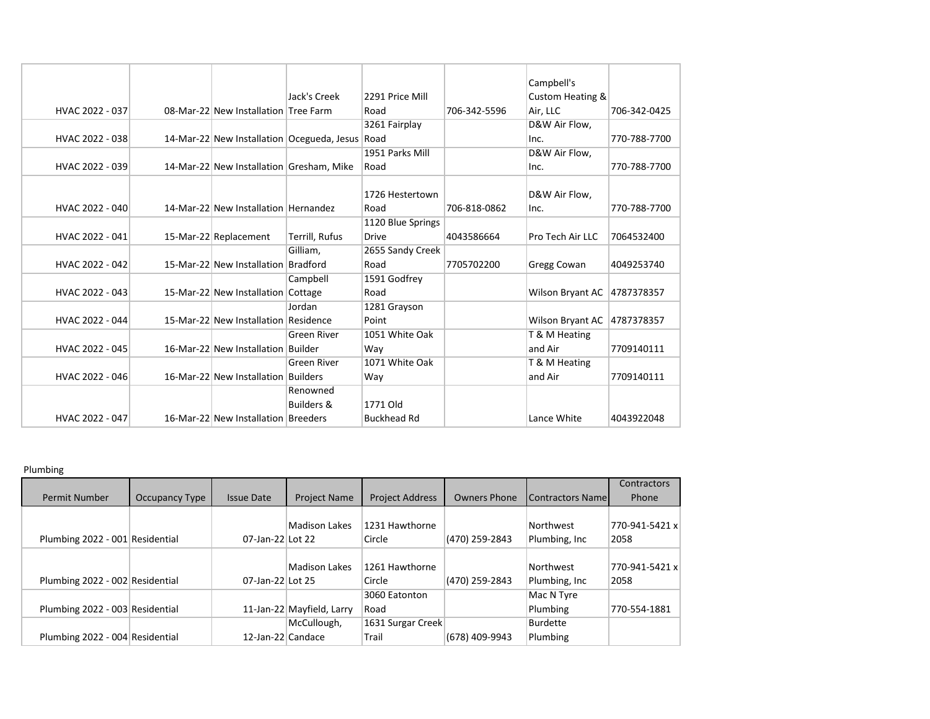|                 |                                          |                                                 |                    |              | Campbell's                  |              |
|-----------------|------------------------------------------|-------------------------------------------------|--------------------|--------------|-----------------------------|--------------|
|                 |                                          | Jack's Creek                                    | 2291 Price Mill    |              | Custom Heating &            |              |
| HVAC 2022 - 037 | 08-Mar-22 New Installation Tree Farm     |                                                 | Road               | 706-342-5596 | Air, LLC                    | 706-342-0425 |
|                 |                                          |                                                 | 3261 Fairplay      |              | D&W Air Flow,               |              |
| HVAC 2022 - 038 |                                          | 14-Mar-22 New Installation Ocegueda, Jesus Road |                    |              | Inc.                        | 770-788-7700 |
|                 |                                          |                                                 | 1951 Parks Mill    |              | D&W Air Flow,               |              |
| HVAC 2022 - 039 | 14-Mar-22 New Installation Gresham, Mike |                                                 | Road               |              | Inc.                        | 770-788-7700 |
|                 |                                          |                                                 |                    |              |                             |              |
|                 |                                          |                                                 | 1726 Hestertown    |              | D&W Air Flow,               |              |
| HVAC 2022 - 040 | 14-Mar-22 New Installation Hernandez     |                                                 | Road               | 706-818-0862 | lnc.                        | 770-788-7700 |
|                 |                                          |                                                 | 1120 Blue Springs  |              |                             |              |
| HVAC 2022 - 041 | 15-Mar-22 Replacement                    | Terrill, Rufus                                  | <b>Drive</b>       | 4043586664   | <b>Pro Tech Air LLC</b>     | 7064532400   |
|                 |                                          | Gilliam.                                        | 2655 Sandy Creek   |              |                             |              |
| HVAC 2022 - 042 | 15-Mar-22 New Installation               | Bradford                                        | Road               | 7705702200   | <b>Gregg Cowan</b>          | 4049253740   |
|                 |                                          | Campbell                                        | 1591 Godfrey       |              |                             |              |
| HVAC 2022 - 043 | 15-Mar-22 New Installation               | Cottage                                         | Road               |              | Wilson Bryant AC 4787378357 |              |
|                 |                                          | Jordan                                          | 1281 Grayson       |              |                             |              |
| HVAC 2022 - 044 | 15-Mar-22 New Installation Residence     |                                                 | Point              |              | Wilson Bryant AC            | 4787378357   |
|                 |                                          | <b>Green River</b>                              | 1051 White Oak     |              | T & M Heating               |              |
| HVAC 2022 - 045 | 16-Mar-22 New Installation Builder       |                                                 | Way                |              | and Air                     | 7709140111   |
|                 |                                          | <b>Green River</b>                              | 1071 White Oak     |              | T & M Heating               |              |
| HVAC 2022 - 046 | 16-Mar-22 New Installation Builders      |                                                 | Way                |              | and Air                     | 7709140111   |
|                 |                                          | Renowned                                        |                    |              |                             |              |
|                 |                                          | <b>Builders &amp;</b>                           | 1771 Old           |              |                             |              |
| HVAC 2022 - 047 | 16-Mar-22 New Installation Breeders      |                                                 | <b>Buckhead Rd</b> |              | Lance White                 | 4043922048   |
|                 |                                          |                                                 |                    |              |                             |              |

## Plumbing

|                                 |                |                   |                           |                        |                     |                         | Contractors    |
|---------------------------------|----------------|-------------------|---------------------------|------------------------|---------------------|-------------------------|----------------|
| Permit Number                   | Occupancy Type | <b>Issue Date</b> | <b>Project Name</b>       | <b>Project Address</b> | <b>Owners Phone</b> | <b>Contractors Name</b> | Phone          |
|                                 |                |                   |                           |                        |                     |                         |                |
|                                 |                |                   | Madison Lakes             | 1231 Hawthorne         |                     | Northwest               | 770-941-5421 x |
| Plumbing 2022 - 001 Residential |                | 07-Jan-22 Lot 22  |                           | Circle                 | (470) 259-2843      | Plumbing, Inc.          | 2058           |
|                                 |                |                   |                           |                        |                     |                         |                |
|                                 |                |                   | <b>Madison Lakes</b>      | 1261 Hawthorne         |                     | Northwest               | 770-941-5421 x |
| Plumbing 2022 - 002 Residential |                | 07-Jan-22 Lot 25  |                           | Circle                 | (470) 259-2843      | Plumbing, Inc.          | 2058           |
|                                 |                |                   |                           | 3060 Eatonton          |                     | Mac N Tyre              |                |
| Plumbing 2022 - 003 Residential |                |                   | 11-Jan-22 Mayfield, Larry | Road                   |                     | Plumbing                | 770-554-1881   |
|                                 |                |                   | McCullough,               | 1631 Surgar Creek      |                     | <b>Burdette</b>         |                |
| Plumbing 2022 - 004 Residential |                | 12-Jan-22 Candace |                           | Trail                  | (678) 409-9943      | Plumbing                |                |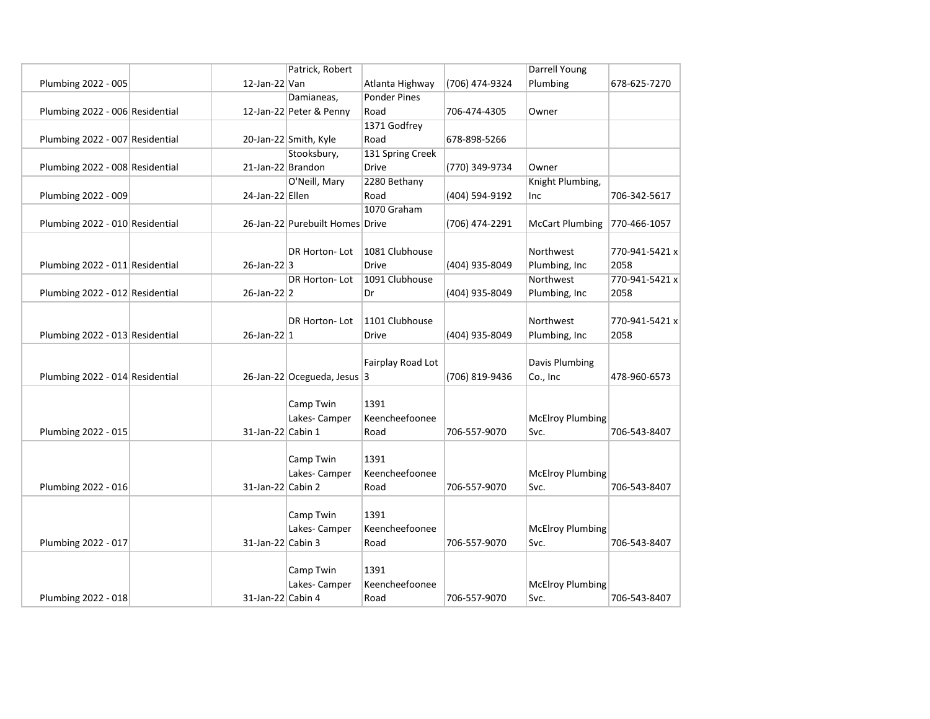|                                 |                   | Patrick, Robert                 |                     |                | <b>Darrell Young</b>    |                |
|---------------------------------|-------------------|---------------------------------|---------------------|----------------|-------------------------|----------------|
| Plumbing 2022 - 005             | $12$ -Jan-22 Van  |                                 | Atlanta Highway     | (706) 474-9324 | Plumbing                | 678-625-7270   |
|                                 |                   | Damianeas,                      | <b>Ponder Pines</b> |                |                         |                |
| Plumbing 2022 - 006 Residential |                   | 12-Jan-22 Peter & Penny         | Road                | 706-474-4305   | Owner                   |                |
|                                 |                   |                                 | 1371 Godfrey        |                |                         |                |
| Plumbing 2022 - 007 Residential |                   | 20-Jan-22 Smith, Kyle           | Road                | 678-898-5266   |                         |                |
|                                 |                   | Stooksbury,                     | 131 Spring Creek    |                |                         |                |
| Plumbing 2022 - 008 Residential | 21-Jan-22 Brandon |                                 | <b>Drive</b>        | (770) 349-9734 | Owner                   |                |
|                                 |                   | O'Neill, Mary                   | 2280 Bethany        |                | Knight Plumbing,        |                |
| Plumbing 2022 - 009             | 24-Jan-22 Ellen   |                                 | Road                | (404) 594-9192 | Inc                     | 706-342-5617   |
|                                 |                   |                                 | 1070 Graham         |                |                         |                |
| Plumbing 2022 - 010 Residential |                   | 26-Jan-22 Purebuilt Homes Drive |                     | (706) 474-2291 | <b>McCart Plumbing</b>  | 770-466-1057   |
|                                 |                   |                                 |                     |                |                         |                |
|                                 |                   | DR Horton-Lot                   | 1081 Clubhouse      |                | Northwest               | 770-941-5421 x |
| Plumbing 2022 - 011 Residential | $26$ -Jan-22 3    |                                 | <b>Drive</b>        | (404) 935-8049 | Plumbing, Inc           | 2058           |
|                                 |                   | DR Horton-Lot                   | 1091 Clubhouse      |                | Northwest               | 770-941-5421 x |
| Plumbing 2022 - 012 Residential | $26$ -Jan-22 2    |                                 | Dr                  | (404) 935-8049 | Plumbing, Inc           | 2058           |
|                                 |                   |                                 |                     |                |                         |                |
|                                 |                   | DR Horton-Lot                   | 1101 Clubhouse      |                | Northwest               | 770-941-5421 x |
| Plumbing 2022 - 013 Residential | $26$ -Jan-22 1    |                                 | <b>Drive</b>        | (404) 935-8049 | Plumbing, Inc           | 2058           |
|                                 |                   |                                 |                     |                |                         |                |
|                                 |                   |                                 | Fairplay Road Lot   |                | <b>Davis Plumbing</b>   |                |
| Plumbing 2022 - 014 Residential |                   | 26-Jan-22 Ocegueda, Jesus 3     |                     | (706) 819-9436 | Co., Inc                | 478-960-6573   |
|                                 |                   |                                 |                     |                |                         |                |
|                                 |                   | Camp Twin                       | 1391                |                |                         |                |
|                                 |                   | Lakes-Camper                    | Keencheefoonee      |                | <b>McElroy Plumbing</b> |                |
| Plumbing 2022 - 015             | 31-Jan-22 Cabin 1 |                                 | Road                | 706-557-9070   | Svc.                    | 706-543-8407   |
|                                 |                   |                                 |                     |                |                         |                |
|                                 |                   | Camp Twin                       | 1391                |                |                         |                |
|                                 |                   | Lakes- Camper                   | Keencheefoonee      |                | <b>McElroy Plumbing</b> |                |
| Plumbing 2022 - 016             | 31-Jan-22 Cabin 2 |                                 | Road                | 706-557-9070   | Svc.                    | 706-543-8407   |
|                                 |                   |                                 |                     |                |                         |                |
|                                 |                   | Camp Twin                       | 1391                |                |                         |                |
|                                 |                   | Lakes- Camper                   | Keencheefoonee      |                | <b>McElroy Plumbing</b> |                |
| Plumbing 2022 - 017             | 31-Jan-22 Cabin 3 |                                 | Road                | 706-557-9070   | Svc.                    | 706-543-8407   |
|                                 |                   |                                 |                     |                |                         |                |
|                                 |                   | Camp Twin                       | 1391                |                |                         |                |
|                                 |                   | Lakes- Camper                   | Keencheefoonee      |                | <b>McElroy Plumbing</b> |                |
| Plumbing 2022 - 018             | 31-Jan-22 Cabin 4 |                                 | Road                | 706-557-9070   | Svc.                    | 706-543-8407   |
|                                 |                   |                                 |                     |                |                         |                |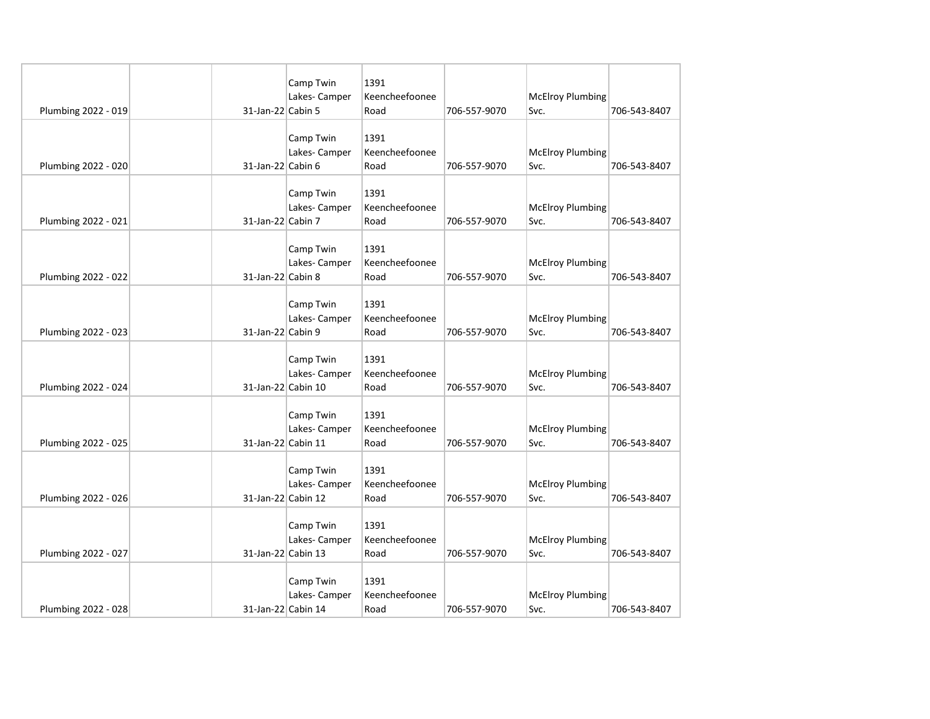|                     |                    | Camp Twin     | 1391                   |              |                                 |              |
|---------------------|--------------------|---------------|------------------------|--------------|---------------------------------|--------------|
|                     | 31-Jan-22 Cabin 5  | Lakes- Camper | Keencheefoonee<br>Road | 706-557-9070 | <b>McElroy Plumbing</b><br>Svc. | 706-543-8407 |
| Plumbing 2022 - 019 |                    |               |                        |              |                                 |              |
|                     |                    | Camp Twin     | 1391                   |              |                                 |              |
|                     |                    | Lakes-Camper  | Keencheefoonee         |              | <b>McElroy Plumbing</b>         |              |
| Plumbing 2022 - 020 | 31-Jan-22 Cabin 6  |               | Road                   | 706-557-9070 | Svc.                            | 706-543-8407 |
|                     |                    |               |                        |              |                                 |              |
|                     |                    | Camp Twin     | 1391                   |              |                                 |              |
|                     |                    | Lakes- Camper | Keencheefoonee         |              | <b>McElroy Plumbing</b>         |              |
| Plumbing 2022 - 021 | 31-Jan-22 Cabin 7  |               | Road                   | 706-557-9070 | Svc.                            | 706-543-8407 |
|                     |                    |               |                        |              |                                 |              |
|                     |                    | Camp Twin     | 1391                   |              |                                 |              |
|                     |                    | Lakes- Camper | Keencheefoonee         |              | <b>McElroy Plumbing</b>         |              |
| Plumbing 2022 - 022 | 31-Jan-22 Cabin 8  |               | Road                   | 706-557-9070 | Svc.                            | 706-543-8407 |
|                     |                    |               |                        |              |                                 |              |
|                     |                    | Camp Twin     | 1391                   |              |                                 |              |
|                     |                    | Lakes- Camper | Keencheefoonee         |              | <b>McElroy Plumbing</b>         |              |
| Plumbing 2022 - 023 | 31-Jan-22 Cabin 9  |               | Road                   | 706-557-9070 | Svc.                            | 706-543-8407 |
|                     |                    |               |                        |              |                                 |              |
|                     |                    | Camp Twin     | 1391                   |              |                                 |              |
|                     |                    | Lakes-Camper  | Keencheefoonee         |              | <b>McElroy Plumbing</b>         |              |
| Plumbing 2022 - 024 | 31-Jan-22 Cabin 10 |               | Road                   | 706-557-9070 | Svc.                            | 706-543-8407 |
|                     |                    |               |                        |              |                                 |              |
|                     |                    | Camp Twin     | 1391                   |              |                                 |              |
|                     |                    | Lakes-Camper  | Keencheefoonee         |              | <b>McElroy Plumbing</b>         |              |
| Plumbing 2022 - 025 | 31-Jan-22 Cabin 11 |               | Road                   | 706-557-9070 | Svc.                            | 706-543-8407 |
|                     |                    | Camp Twin     | 1391                   |              |                                 |              |
|                     |                    | Lakes-Camper  | Keencheefoonee         |              | <b>McElroy Plumbing</b>         |              |
| Plumbing 2022 - 026 | 31-Jan-22 Cabin 12 |               | Road                   | 706-557-9070 | Svc.                            | 706-543-8407 |
|                     |                    |               |                        |              |                                 |              |
|                     |                    | Camp Twin     | 1391                   |              |                                 |              |
|                     |                    | Lakes-Camper  | Keencheefoonee         |              | <b>McElroy Plumbing</b>         |              |
| Plumbing 2022 - 027 | 31-Jan-22 Cabin 13 |               | Road                   | 706-557-9070 | Svc.                            | 706-543-8407 |
|                     |                    |               |                        |              |                                 |              |
|                     |                    | Camp Twin     | 1391                   |              |                                 |              |
|                     |                    | Lakes- Camper | Keencheefoonee         |              | <b>McElroy Plumbing</b>         |              |
| Plumbing 2022 - 028 | 31-Jan-22 Cabin 14 |               | Road                   | 706-557-9070 | Svc.                            | 706-543-8407 |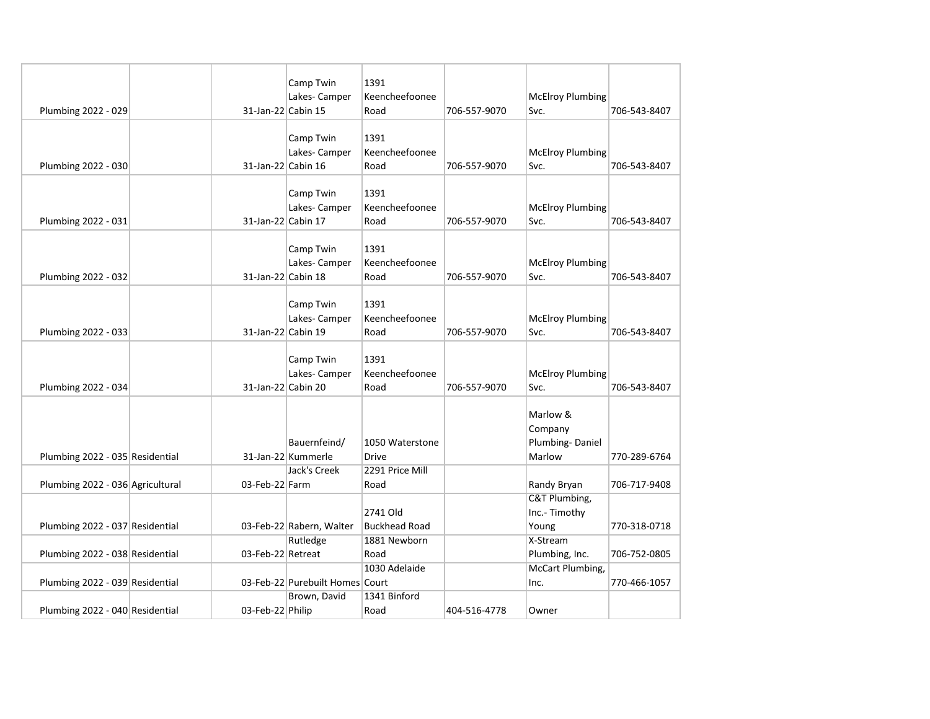|                                  |                    | Camp Twin                       | 1391                 |              |                         |              |
|----------------------------------|--------------------|---------------------------------|----------------------|--------------|-------------------------|--------------|
|                                  |                    | Lakes- Camper                   | Keencheefoonee       |              | <b>McElroy Plumbing</b> |              |
| Plumbing 2022 - 029              | 31-Jan-22 Cabin 15 |                                 | Road                 | 706-557-9070 | Svc.                    | 706-543-8407 |
|                                  |                    |                                 |                      |              |                         |              |
|                                  |                    | Camp Twin                       | 1391                 |              |                         |              |
|                                  |                    | Lakes-Camper                    | Keencheefoonee       |              | <b>McElroy Plumbing</b> |              |
| Plumbing 2022 - 030              | 31-Jan-22 Cabin 16 |                                 | Road                 | 706-557-9070 | Svc.                    | 706-543-8407 |
|                                  |                    |                                 |                      |              |                         |              |
|                                  |                    | Camp Twin                       | 1391                 |              |                         |              |
|                                  |                    | Lakes- Camper                   | Keencheefoonee       |              | <b>McElroy Plumbing</b> |              |
| Plumbing 2022 - 031              | 31-Jan-22 Cabin 17 |                                 | Road                 | 706-557-9070 | Svc.                    | 706-543-8407 |
|                                  |                    |                                 |                      |              |                         |              |
|                                  |                    | Camp Twin                       | 1391                 |              |                         |              |
|                                  |                    | Lakes-Camper                    | Keencheefoonee       |              | <b>McElroy Plumbing</b> |              |
| Plumbing 2022 - 032              | 31-Jan-22 Cabin 18 |                                 | Road                 | 706-557-9070 | Svc.                    | 706-543-8407 |
|                                  |                    |                                 |                      |              |                         |              |
|                                  |                    | Camp Twin                       | 1391                 |              |                         |              |
|                                  |                    | Lakes- Camper                   | Keencheefoonee       |              | <b>McElroy Plumbing</b> |              |
| Plumbing 2022 - 033              | 31-Jan-22 Cabin 19 |                                 | Road                 | 706-557-9070 | Svc.                    | 706-543-8407 |
|                                  |                    |                                 |                      |              |                         |              |
|                                  |                    | Camp Twin                       | 1391                 |              |                         |              |
|                                  |                    | Lakes-Camper                    | Keencheefoonee       |              | <b>McElroy Plumbing</b> |              |
| Plumbing 2022 - 034              | 31-Jan-22 Cabin 20 |                                 | Road                 | 706-557-9070 | Svc.                    | 706-543-8407 |
|                                  |                    |                                 |                      |              |                         |              |
|                                  |                    |                                 |                      |              | Marlow &                |              |
|                                  |                    |                                 |                      |              | Company                 |              |
|                                  |                    | Bauernfeind/                    | 1050 Waterstone      |              | Plumbing-Daniel         |              |
| Plumbing 2022 - 035 Residential  |                    | 31-Jan-22 Kummerle              | <b>Drive</b>         |              | Marlow                  | 770-289-6764 |
|                                  |                    | Jack's Creek                    | 2291 Price Mill      |              |                         |              |
| Plumbing 2022 - 036 Agricultural | 03-Feb-22 Farm     |                                 | Road                 |              | Randy Bryan             | 706-717-9408 |
|                                  |                    |                                 |                      |              | C&T Plumbing,           |              |
|                                  |                    |                                 | 2741 Old             |              | Inc.- Timothy           |              |
| Plumbing 2022 - 037 Residential  |                    | 03-Feb-22 Rabern, Walter        | <b>Buckhead Road</b> |              | Young                   | 770-318-0718 |
|                                  |                    | Rutledge                        | 1881 Newborn         |              | X-Stream                |              |
| Plumbing 2022 - 038 Residential  | 03-Feb-22 Retreat  |                                 | Road                 |              | Plumbing, Inc.          | 706-752-0805 |
|                                  |                    |                                 | 1030 Adelaide        |              | <b>McCart Plumbing,</b> |              |
| Plumbing 2022 - 039 Residential  |                    | 03-Feb-22 Purebuilt Homes Court |                      |              | Inc.                    | 770-466-1057 |
|                                  |                    | Brown, David                    | 1341 Binford         |              |                         |              |
| Plumbing 2022 - 040 Residential  | 03-Feb-22 Philip   |                                 | Road                 | 404-516-4778 | Owner                   |              |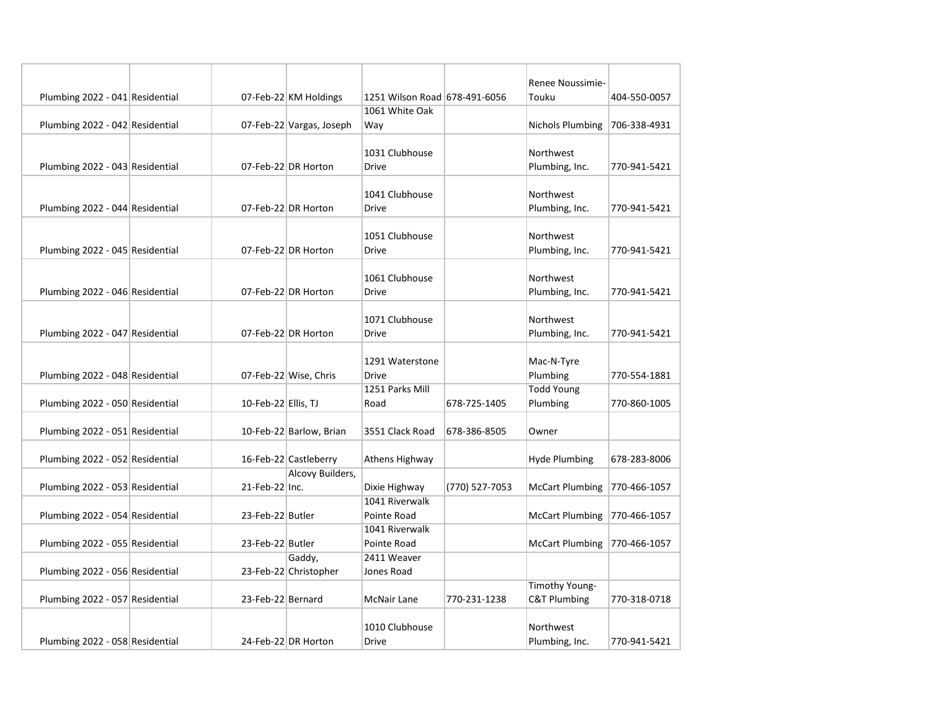|                                 |                     |                          |                                |                | Renee Noussimie-            |              |
|---------------------------------|---------------------|--------------------------|--------------------------------|----------------|-----------------------------|--------------|
| Plumbing 2022 - 041 Residential |                     | 07-Feb-22 KM Holdings    | 1251 Wilson Road 678-491-6056  |                | Touku                       | 404-550-0057 |
|                                 |                     |                          | 1061 White Oak                 |                |                             |              |
| Plumbing 2022 - 042 Residential |                     | 07-Feb-22 Vargas, Joseph | Way                            |                | Nichols Plumbing            | 706-338-4931 |
|                                 |                     |                          | 1031 Clubhouse                 |                |                             |              |
| Plumbing 2022 - 043 Residential |                     | 07-Feb-22 DR Horton      | <b>Drive</b>                   |                | Northwest<br>Plumbing, Inc. | 770-941-5421 |
|                                 |                     |                          |                                |                |                             |              |
|                                 |                     |                          | 1041 Clubhouse                 |                | Northwest                   |              |
| Plumbing 2022 - 044 Residential |                     | 07-Feb-22 DR Horton      | Drive                          |                | Plumbing, Inc.              | 770-941-5421 |
|                                 |                     |                          |                                |                |                             |              |
|                                 |                     |                          | 1051 Clubhouse                 |                | Northwest                   |              |
| Plumbing 2022 - 045 Residential |                     | 07-Feb-22 DR Horton      | <b>Drive</b>                   |                | Plumbing, Inc.              | 770-941-5421 |
|                                 |                     |                          |                                |                |                             |              |
| Plumbing 2022 - 046 Residential |                     | 07-Feb-22 DR Horton      | 1061 Clubhouse<br><b>Drive</b> |                | Northwest<br>Plumbing, Inc. | 770-941-5421 |
|                                 |                     |                          |                                |                |                             |              |
|                                 |                     |                          | 1071 Clubhouse                 |                | Northwest                   |              |
| Plumbing 2022 - 047 Residential |                     | 07-Feb-22 DR Horton      | <b>Drive</b>                   |                | Plumbing, Inc.              | 770-941-5421 |
|                                 |                     |                          |                                |                |                             |              |
|                                 |                     |                          | 1291 Waterstone                |                | Mac-N-Tyre                  |              |
| Plumbing 2022 - 048 Residential |                     | 07-Feb-22 Wise, Chris    | <b>Drive</b>                   |                | Plumbing                    | 770-554-1881 |
|                                 |                     |                          | 1251 Parks Mill                |                | <b>Todd Young</b>           |              |
| Plumbing 2022 - 050 Residential | 10-Feb-22 Ellis, TJ |                          | Road                           | 678-725-1405   | Plumbing                    | 770-860-1005 |
|                                 |                     |                          |                                |                |                             |              |
| Plumbing 2022 - 051 Residential |                     | 10-Feb-22 Barlow, Brian  | 3551 Clack Road                | 678-386-8505   | Owner                       |              |
| Plumbing 2022 - 052 Residential |                     | 16-Feb-22 Castleberry    | Athens Highway                 |                | <b>Hyde Plumbing</b>        | 678-283-8006 |
|                                 |                     | Alcovy Builders,         |                                |                |                             |              |
| Plumbing 2022 - 053 Residential | 21-Feb-22 Inc.      |                          | Dixie Highway                  | (770) 527-7053 | <b>McCart Plumbing</b>      | 770-466-1057 |
|                                 |                     |                          | 1041 Riverwalk                 |                |                             |              |
| Plumbing 2022 - 054 Residential | 23-Feb-22 Butler    |                          | Pointe Road                    |                | <b>McCart Plumbing</b>      | 770-466-1057 |
|                                 |                     |                          | 1041 Riverwalk                 |                |                             |              |
| Plumbing 2022 - 055 Residential | 23-Feb-22 Butler    |                          | Pointe Road                    |                | <b>McCart Plumbing</b>      | 770-466-1057 |
|                                 |                     | Gaddy,                   | 2411 Weaver                    |                |                             |              |
| Plumbing 2022 - 056 Residential |                     | 23-Feb-22 Christopher    | Jones Road                     |                |                             |              |
|                                 |                     |                          |                                |                | Timothy Young-              |              |
| Plumbing 2022 - 057 Residential | 23-Feb-22 Bernard   |                          | McNair Lane                    | 770-231-1238   | <b>C&amp;T Plumbing</b>     | 770-318-0718 |
|                                 |                     |                          | 1010 Clubhouse                 |                | Northwest                   |              |
| Plumbing 2022 - 058 Residential |                     | 24-Feb-22 DR Horton      | <b>Drive</b>                   |                | Plumbing, Inc.              | 770-941-5421 |
|                                 |                     |                          |                                |                |                             |              |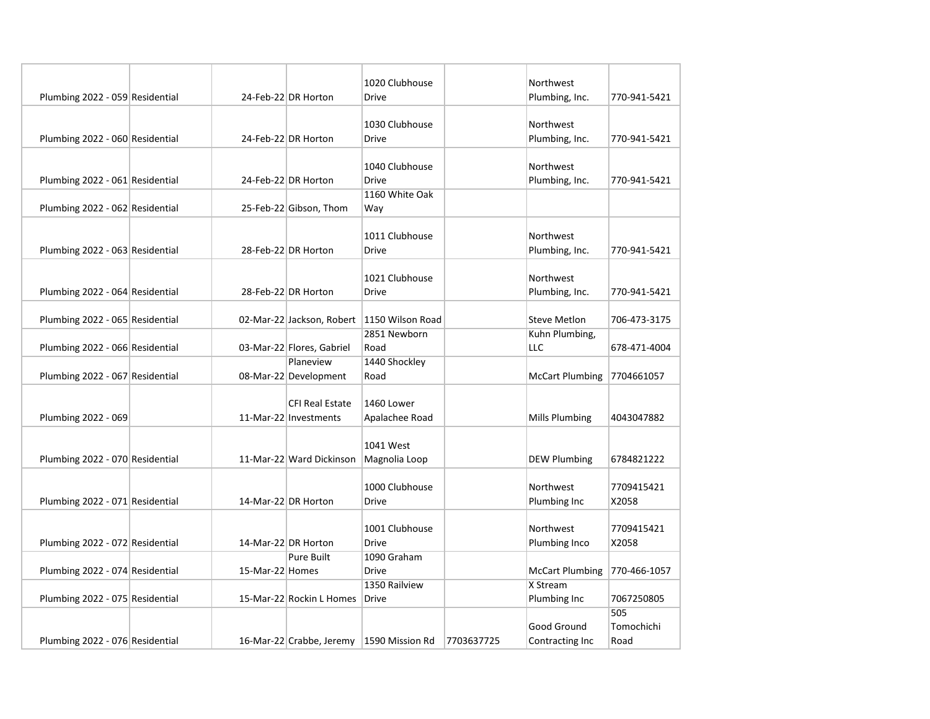|                                 |                 |                           | 1020 Clubhouse   |            | Northwest              |              |
|---------------------------------|-----------------|---------------------------|------------------|------------|------------------------|--------------|
| Plumbing 2022 - 059 Residential |                 | 24-Feb-22 DR Horton       | <b>Drive</b>     |            | Plumbing, Inc.         | 770-941-5421 |
|                                 |                 |                           |                  |            |                        |              |
|                                 |                 |                           | 1030 Clubhouse   |            | Northwest              |              |
| Plumbing 2022 - 060 Residential |                 | 24-Feb-22 DR Horton       | <b>Drive</b>     |            | Plumbing, Inc.         | 770-941-5421 |
|                                 |                 |                           |                  |            |                        |              |
|                                 |                 |                           | 1040 Clubhouse   |            | Northwest              |              |
| Plumbing 2022 - 061 Residential |                 | 24-Feb-22 DR Horton       | <b>Drive</b>     |            | Plumbing, Inc.         | 770-941-5421 |
|                                 |                 |                           | 1160 White Oak   |            |                        |              |
| Plumbing 2022 - 062 Residential |                 | 25-Feb-22 Gibson, Thom    | Way              |            |                        |              |
|                                 |                 |                           |                  |            |                        |              |
|                                 |                 |                           | 1011 Clubhouse   |            | Northwest              |              |
| Plumbing 2022 - 063 Residential |                 | 28-Feb-22 DR Horton       | Drive            |            | Plumbing, Inc.         | 770-941-5421 |
|                                 |                 |                           |                  |            |                        |              |
|                                 |                 |                           | 1021 Clubhouse   |            | Northwest              |              |
| Plumbing 2022 - 064 Residential |                 | 28-Feb-22 DR Horton       | <b>Drive</b>     |            | Plumbing, Inc.         | 770-941-5421 |
|                                 |                 |                           |                  |            |                        |              |
| Plumbing 2022 - 065 Residential |                 | 02-Mar-22 Jackson, Robert | 1150 Wilson Road |            | <b>Steve Metlon</b>    | 706-473-3175 |
|                                 |                 |                           | 2851 Newborn     |            | Kuhn Plumbing,         |              |
| Plumbing 2022 - 066 Residential |                 | 03-Mar-22 Flores, Gabriel | Road             |            | LLC                    | 678-471-4004 |
|                                 |                 | Planeview                 | 1440 Shockley    |            |                        |              |
| Plumbing 2022 - 067 Residential |                 | 08-Mar-22 Development     | Road             |            | <b>McCart Plumbing</b> | 7704661057   |
|                                 |                 |                           |                  |            |                        |              |
|                                 |                 | <b>CFI Real Estate</b>    | 1460 Lower       |            |                        |              |
| Plumbing 2022 - 069             |                 | 11-Mar-22 Investments     | Apalachee Road   |            | Mills Plumbing         | 4043047882   |
|                                 |                 |                           |                  |            |                        |              |
|                                 |                 |                           | 1041 West        |            |                        |              |
| Plumbing 2022 - 070 Residential |                 | 11-Mar-22 Ward Dickinson  | Magnolia Loop    |            | <b>DEW Plumbing</b>    | 6784821222   |
|                                 |                 |                           |                  |            |                        |              |
|                                 |                 |                           | 1000 Clubhouse   |            | Northwest              | 7709415421   |
| Plumbing 2022 - 071 Residential |                 | 14-Mar-22 DR Horton       | <b>Drive</b>     |            | Plumbing Inc           | X2058        |
|                                 |                 |                           |                  |            |                        |              |
|                                 |                 |                           | 1001 Clubhouse   |            | Northwest              | 7709415421   |
| Plumbing 2022 - 072 Residential |                 | 14-Mar-22 DR Horton       | <b>Drive</b>     |            | Plumbing Inco          | X2058        |
|                                 |                 | <b>Pure Built</b>         | 1090 Graham      |            |                        |              |
| Plumbing 2022 - 074 Residential | 15-Mar-22 Homes |                           | <b>Drive</b>     |            | <b>McCart Plumbing</b> | 770-466-1057 |
|                                 |                 |                           | 1350 Railview    |            | X Stream               |              |
| Plumbing 2022 - 075 Residential |                 | 15-Mar-22 Rockin L Homes  | Drive            |            | Plumbing Inc           | 7067250805   |
|                                 |                 |                           |                  |            |                        | 505          |
|                                 |                 |                           |                  |            | Good Ground            | Tomochichi   |
| Plumbing 2022 - 076 Residential |                 | 16-Mar-22 Crabbe, Jeremy  | 1590 Mission Rd  | 7703637725 | Contracting Inc        | Road         |